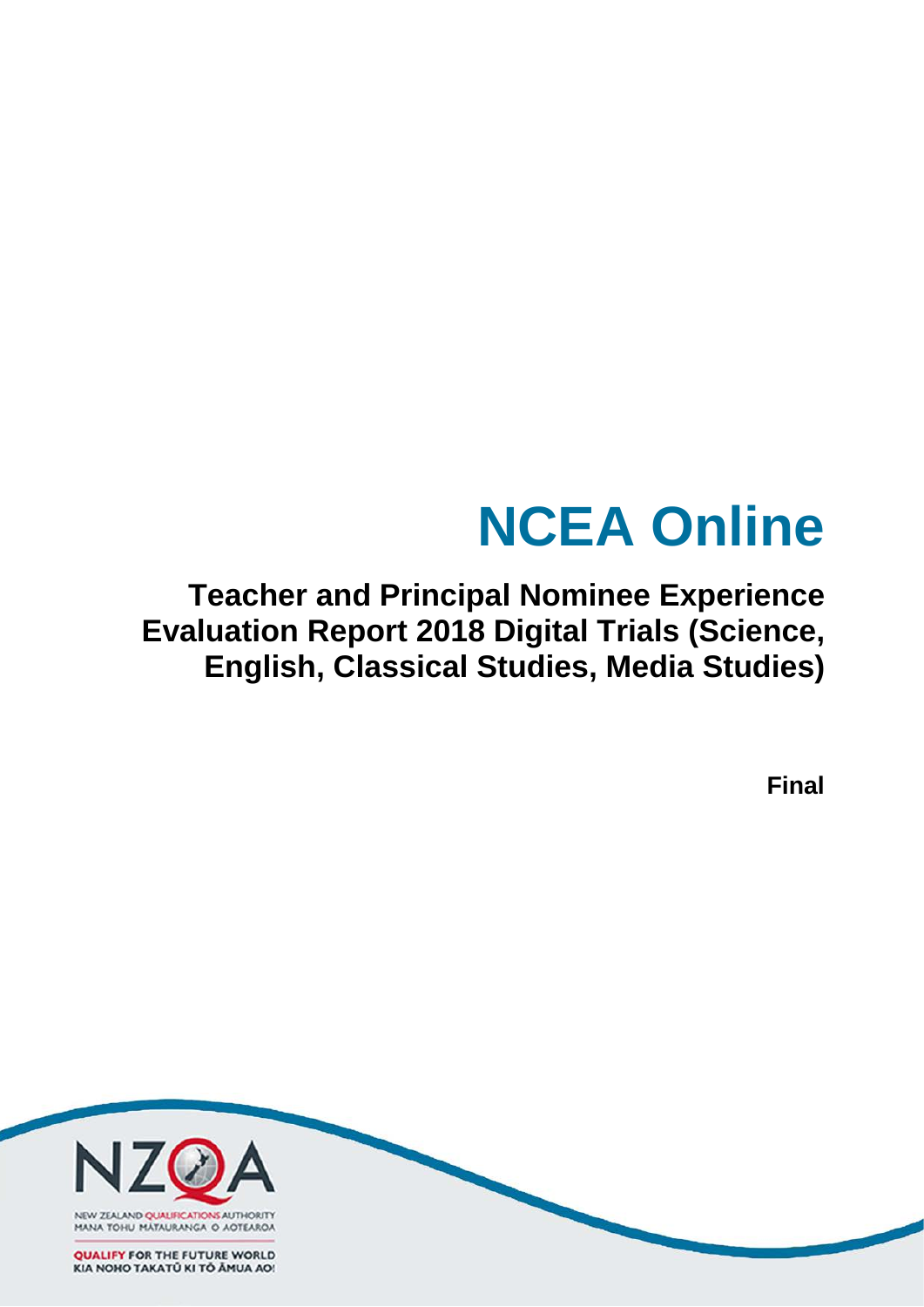# **NCEA Online**

**Teacher and Principal Nominee Experience Evaluation Report 2018 Digital Trials (Science, English, Classical Studies, Media Studies)**

**Final**

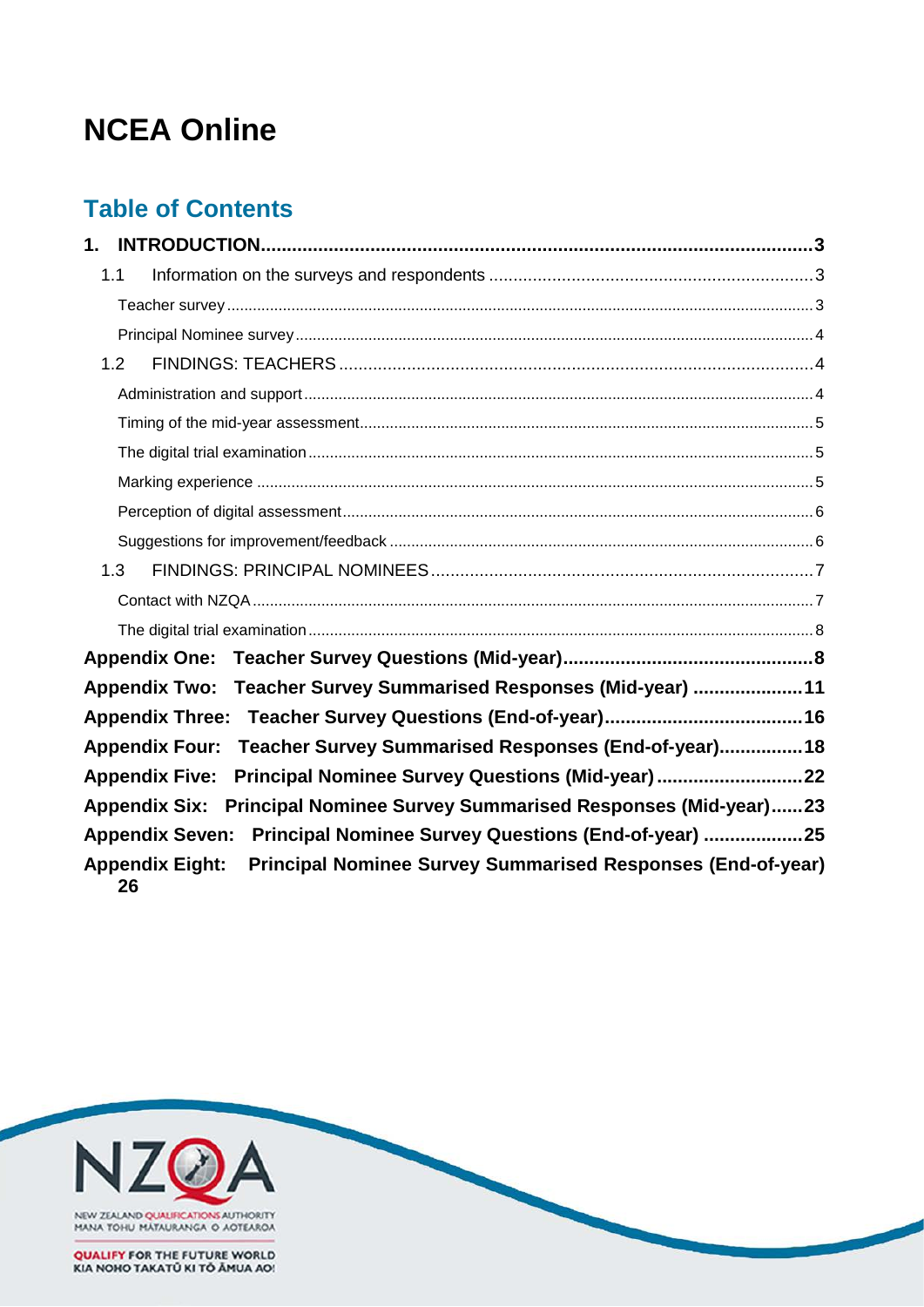# **NCEA Online**

# **Table of Contents**

| 1.                                                                                                 |
|----------------------------------------------------------------------------------------------------|
| 1.1                                                                                                |
|                                                                                                    |
|                                                                                                    |
| 1.2                                                                                                |
|                                                                                                    |
|                                                                                                    |
|                                                                                                    |
|                                                                                                    |
|                                                                                                    |
|                                                                                                    |
| 1.3                                                                                                |
|                                                                                                    |
|                                                                                                    |
|                                                                                                    |
| Appendix Two: Teacher Survey Summarised Responses (Mid-year) 11                                    |
|                                                                                                    |
| Teacher Survey Summarised Responses (End-of-year) 18<br><b>Appendix Four:</b>                      |
| Principal Nominee Survey Questions (Mid-year)22<br><b>Appendix Five:</b>                           |
| Appendix Six: Principal Nominee Survey Summarised Responses (Mid-year)23                           |
| Appendix Seven: Principal Nominee Survey Questions (End-of-year) 25                                |
| <b>Principal Nominee Survey Summarised Responses (End-of-year)</b><br><b>Appendix Eight:</b><br>26 |



**QUALIFY FOR THE FUTURE WORLD<br>KIA NOHO TAKATÚ KI TỔ ĂMUA AO!**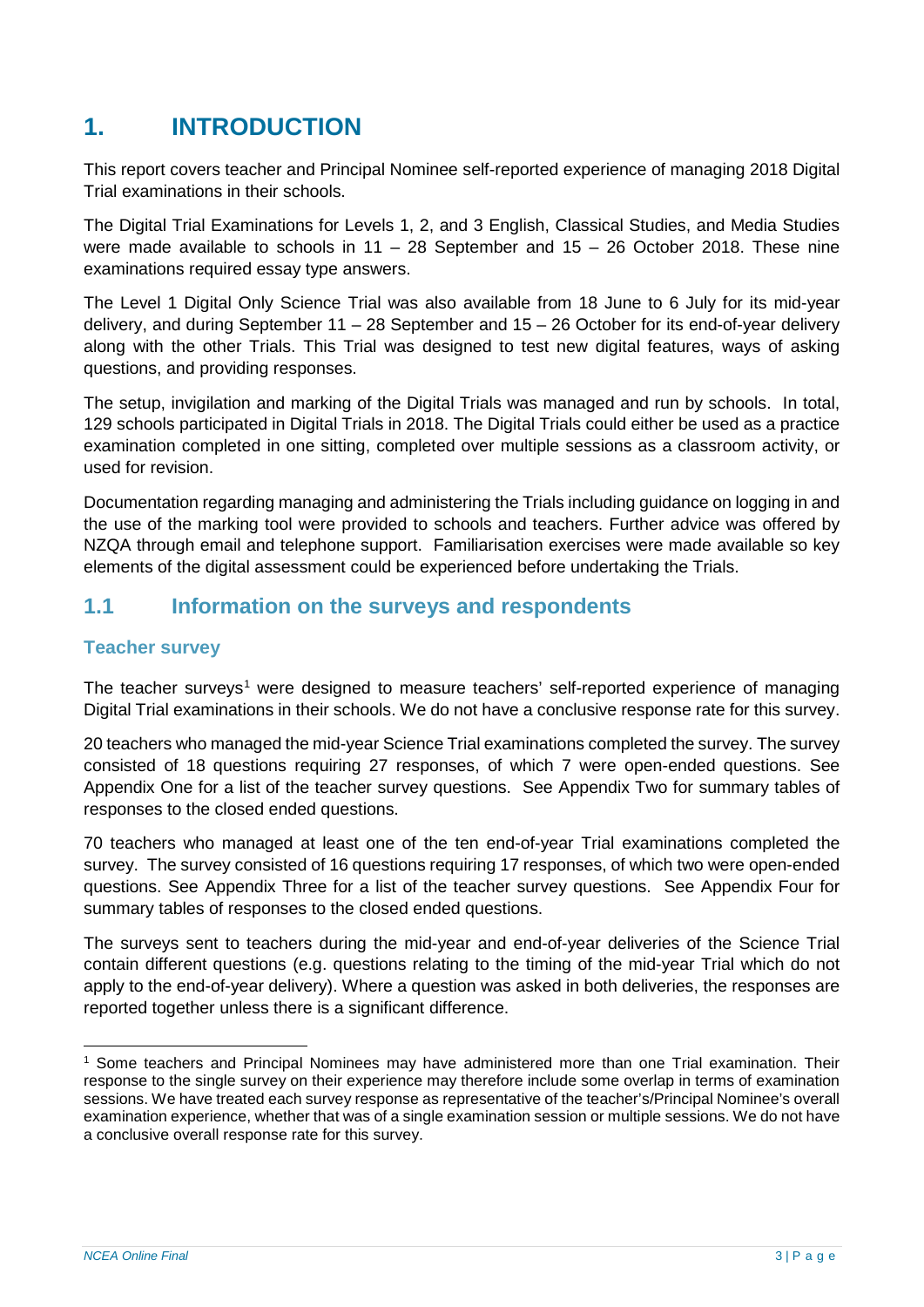# <span id="page-2-0"></span>**1. INTRODUCTION**

This report covers teacher and Principal Nominee self-reported experience of managing 2018 Digital Trial examinations in their schools.

The Digital Trial Examinations for Levels 1, 2, and 3 English, Classical Studies, and Media Studies were made available to schools in  $11 - 28$  September and  $15 - 26$  October 2018. These nine examinations required essay type answers.

The Level 1 Digital Only Science Trial was also available from 18 June to 6 July for its mid-year delivery, and during September 11 – 28 September and 15 – 26 October for its end-of-year delivery along with the other Trials. This Trial was designed to test new digital features, ways of asking questions, and providing responses.

The setup, invigilation and marking of the Digital Trials was managed and run by schools. In total, 129 schools participated in Digital Trials in 2018. The Digital Trials could either be used as a practice examination completed in one sitting, completed over multiple sessions as a classroom activity, or used for revision.

Documentation regarding managing and administering the Trials including guidance on logging in and the use of the marking tool were provided to schools and teachers. Further advice was offered by NZQA through email and telephone support. Familiarisation exercises were made available so key elements of the digital assessment could be experienced before undertaking the Trials.

## <span id="page-2-1"></span>**1.1 Information on the surveys and respondents**

## <span id="page-2-2"></span>**Teacher survey**

The teacher surveys<sup>[1](#page-2-3)</sup> were designed to measure teachers' self-reported experience of managing Digital Trial examinations in their schools. We do not have a conclusive response rate for this survey.

20 teachers who managed the mid-year Science Trial examinations completed the survey. The survey consisted of 18 questions requiring 27 responses, of which 7 were open-ended questions. See Appendix One for a list of the teacher survey questions. See Appendix Two for summary tables of responses to the closed ended questions.

70 teachers who managed at least one of the ten end-of-year Trial examinations completed the survey. The survey consisted of 16 questions requiring 17 responses, of which two were open-ended questions. See Appendix Three for a list of the teacher survey questions. See Appendix Four for summary tables of responses to the closed ended questions.

The surveys sent to teachers during the mid-year and end-of-year deliveries of the Science Trial contain different questions (e.g. questions relating to the timing of the mid-year Trial which do not apply to the end-of-year delivery). Where a question was asked in both deliveries, the responses are reported together unless there is a significant difference.

<span id="page-2-3"></span> <sup>1</sup> Some teachers and Principal Nominees may have administered more than one Trial examination. Their response to the single survey on their experience may therefore include some overlap in terms of examination sessions. We have treated each survey response as representative of the teacher's/Principal Nominee's overall examination experience, whether that was of a single examination session or multiple sessions. We do not have a conclusive overall response rate for this survey.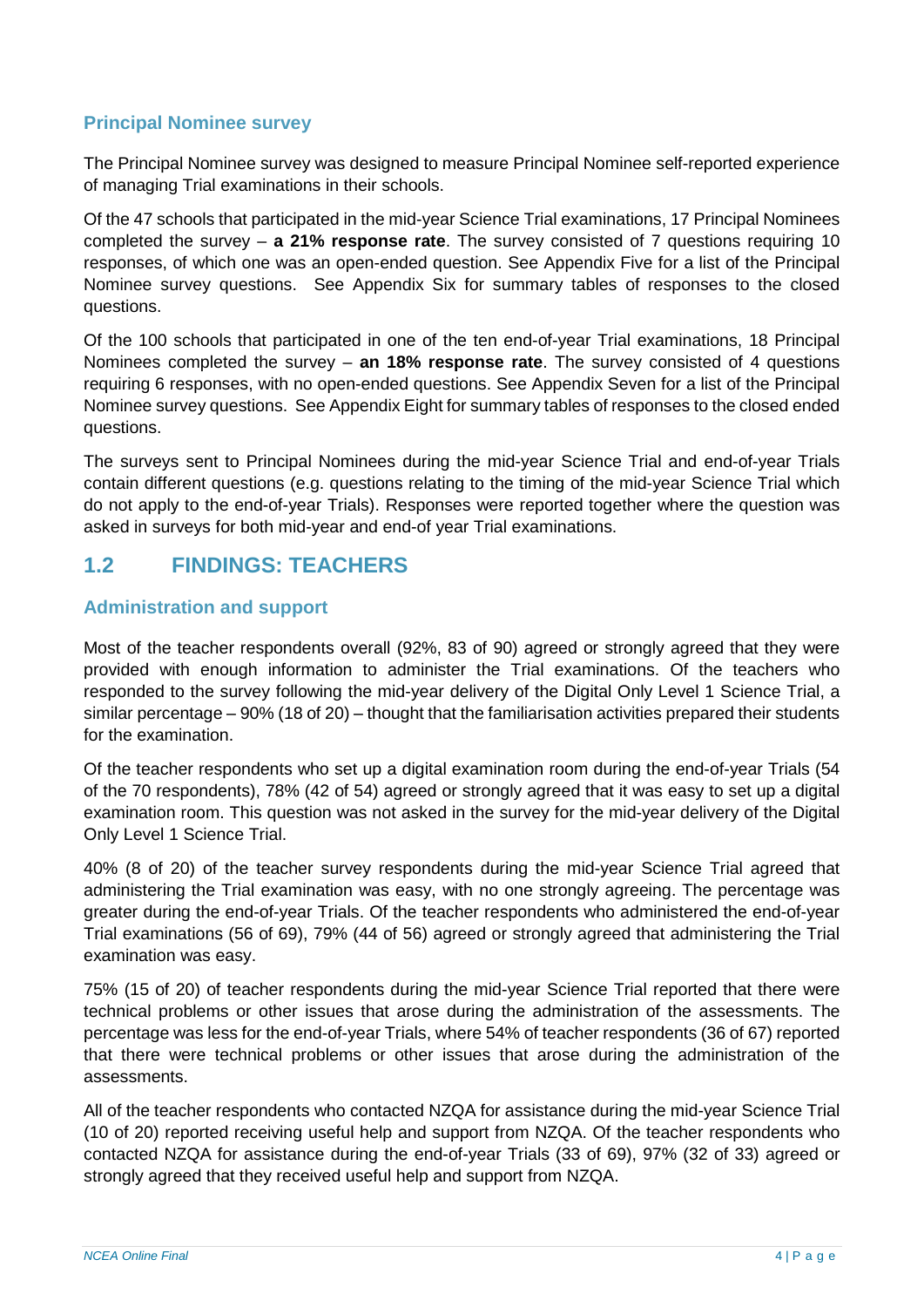## <span id="page-3-0"></span>**Principal Nominee survey**

The Principal Nominee survey was designed to measure Principal Nominee self-reported experience of managing Trial examinations in their schools.

Of the 47 schools that participated in the mid-year Science Trial examinations, 17 Principal Nominees completed the survey – **a 21% response rate**. The survey consisted of 7 questions requiring 10 responses, of which one was an open-ended question. See Appendix Five for a list of the Principal Nominee survey questions. See Appendix Six for summary tables of responses to the closed questions.

Of the 100 schools that participated in one of the ten end-of-year Trial examinations, 18 Principal Nominees completed the survey – **an 18% response rate**. The survey consisted of 4 questions requiring 6 responses, with no open-ended questions. See Appendix Seven for a list of the Principal Nominee survey questions. See Appendix Eight for summary tables of responses to the closed ended questions.

The surveys sent to Principal Nominees during the mid-year Science Trial and end-of-year Trials contain different questions (e.g. questions relating to the timing of the mid-year Science Trial which do not apply to the end-of-year Trials). Responses were reported together where the question was asked in surveys for both mid-year and end-of year Trial examinations.

## <span id="page-3-1"></span>**1.2 FINDINGS: TEACHERS**

## <span id="page-3-2"></span>**Administration and support**

Most of the teacher respondents overall (92%, 83 of 90) agreed or strongly agreed that they were provided with enough information to administer the Trial examinations. Of the teachers who responded to the survey following the mid-year delivery of the Digital Only Level 1 Science Trial, a similar percentage – 90% (18 of 20) – thought that the familiarisation activities prepared their students for the examination.

Of the teacher respondents who set up a digital examination room during the end-of-year Trials (54 of the 70 respondents), 78% (42 of 54) agreed or strongly agreed that it was easy to set up a digital examination room. This question was not asked in the survey for the mid-year delivery of the Digital Only Level 1 Science Trial.

40% (8 of 20) of the teacher survey respondents during the mid-year Science Trial agreed that administering the Trial examination was easy, with no one strongly agreeing. The percentage was greater during the end-of-year Trials. Of the teacher respondents who administered the end-of-year Trial examinations (56 of 69), 79% (44 of 56) agreed or strongly agreed that administering the Trial examination was easy.

75% (15 of 20) of teacher respondents during the mid-year Science Trial reported that there were technical problems or other issues that arose during the administration of the assessments. The percentage was less for the end-of-year Trials, where 54% of teacher respondents (36 of 67) reported that there were technical problems or other issues that arose during the administration of the assessments.

All of the teacher respondents who contacted NZQA for assistance during the mid-year Science Trial (10 of 20) reported receiving useful help and support from NZQA. Of the teacher respondents who contacted NZQA for assistance during the end-of-year Trials (33 of 69), 97% (32 of 33) agreed or strongly agreed that they received useful help and support from NZQA.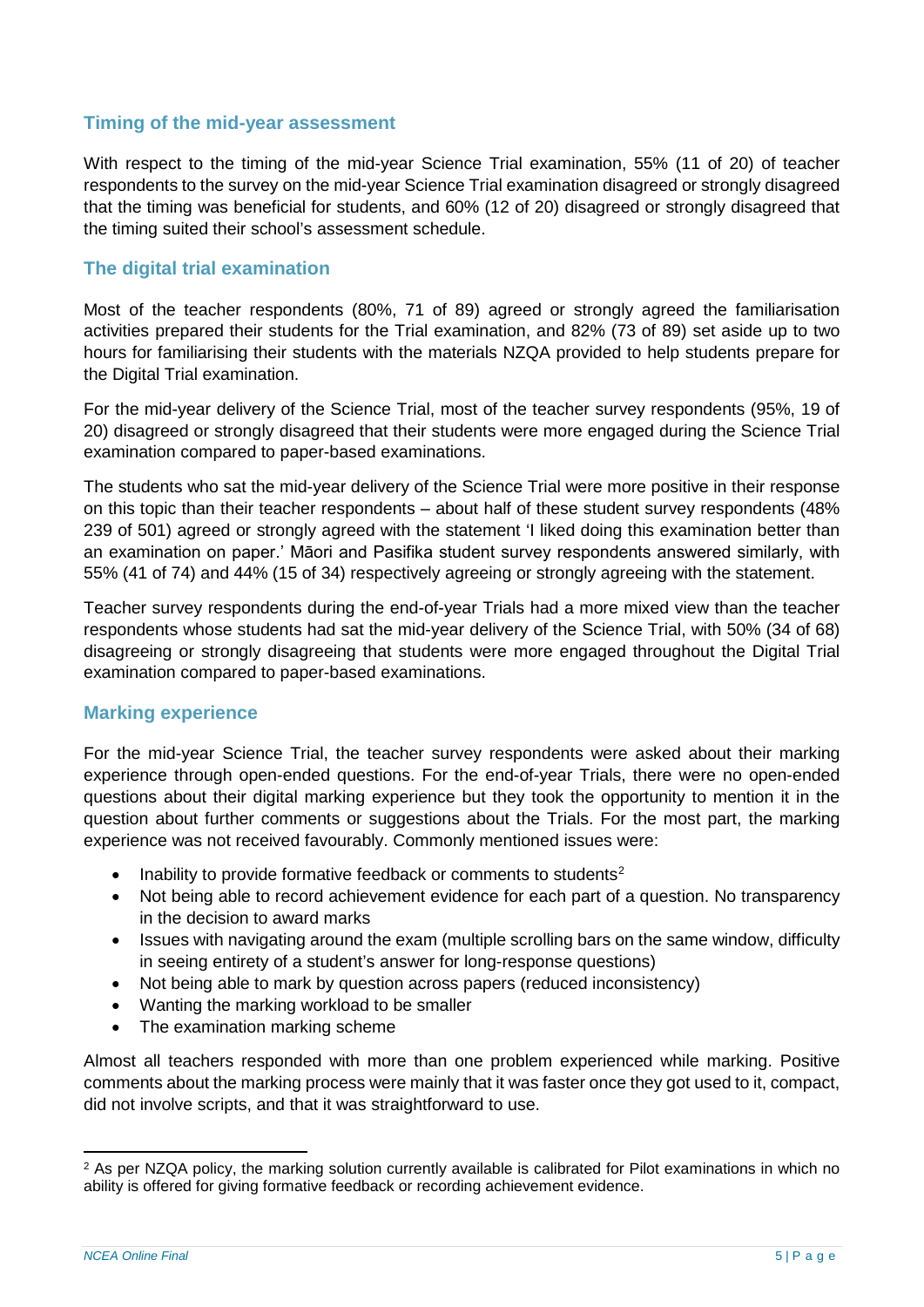## <span id="page-4-0"></span>**Timing of the mid-year assessment**

With respect to the timing of the mid-year Science Trial examination, 55% (11 of 20) of teacher respondents to the survey on the mid-year Science Trial examination disagreed or strongly disagreed that the timing was beneficial for students, and 60% (12 of 20) disagreed or strongly disagreed that the timing suited their school's assessment schedule.

## <span id="page-4-1"></span>**The digital trial examination**

Most of the teacher respondents (80%, 71 of 89) agreed or strongly agreed the familiarisation activities prepared their students for the Trial examination, and 82% (73 of 89) set aside up to two hours for familiarising their students with the materials NZQA provided to help students prepare for the Digital Trial examination.

For the mid-year delivery of the Science Trial, most of the teacher survey respondents (95%, 19 of 20) disagreed or strongly disagreed that their students were more engaged during the Science Trial examination compared to paper-based examinations.

The students who sat the mid-year delivery of the Science Trial were more positive in their response on this topic than their teacher respondents – about half of these student survey respondents (48%) 239 of 501) agreed or strongly agreed with the statement 'I liked doing this examination better than an examination on paper.' Māori and Pasifika student survey respondents answered similarly, with 55% (41 of 74) and 44% (15 of 34) respectively agreeing or strongly agreeing with the statement.

Teacher survey respondents during the end-of-year Trials had a more mixed view than the teacher respondents whose students had sat the mid-year delivery of the Science Trial, with 50% (34 of 68) disagreeing or strongly disagreeing that students were more engaged throughout the Digital Trial examination compared to paper-based examinations.

## <span id="page-4-2"></span>**Marking experience**

For the mid-year Science Trial, the teacher survey respondents were asked about their marking experience through open-ended questions. For the end-of-year Trials, there were no open-ended questions about their digital marking experience but they took the opportunity to mention it in the question about further comments or suggestions about the Trials. For the most part, the marking experience was not received favourably. Commonly mentioned issues were:

- Inability to provide formative feedback or comments to students<sup>[2](#page-4-3)</sup>
- Not being able to record achievement evidence for each part of a question. No transparency in the decision to award marks
- Issues with navigating around the exam (multiple scrolling bars on the same window, difficulty in seeing entirety of a student's answer for long-response questions)
- Not being able to mark by question across papers (reduced inconsistency)
- Wanting the marking workload to be smaller
- The examination marking scheme

Almost all teachers responded with more than one problem experienced while marking. Positive comments about the marking process were mainly that it was faster once they got used to it, compact, did not involve scripts, and that it was straightforward to use.

<span id="page-4-3"></span><sup>&</sup>lt;sup>2</sup> As per NZQA policy, the marking solution currently available is calibrated for Pilot examinations in which no ability is offered for giving formative feedback or recording achievement evidence.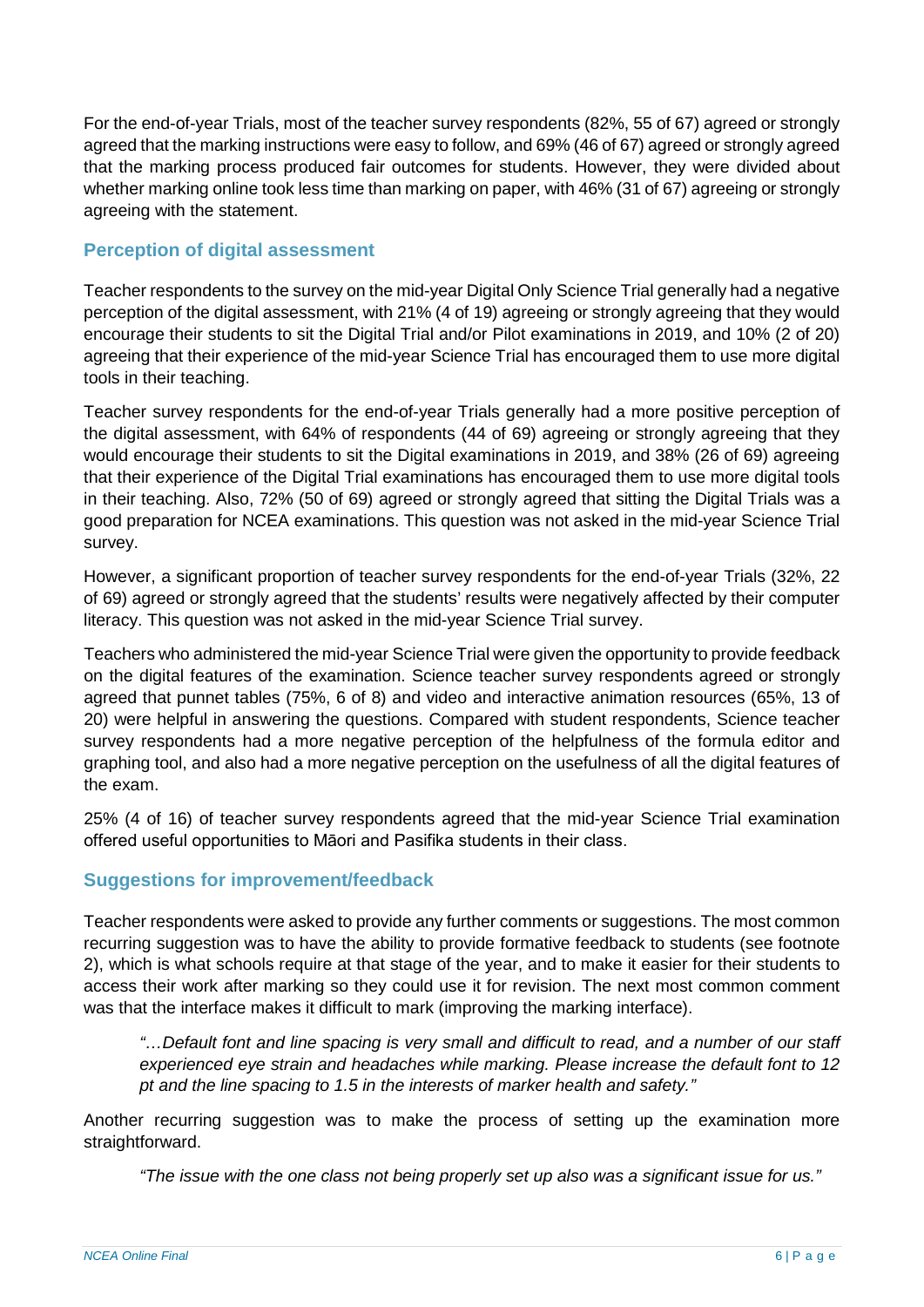For the end-of-year Trials, most of the teacher survey respondents (82%, 55 of 67) agreed or strongly agreed that the marking instructions were easy to follow, and 69% (46 of 67) agreed or strongly agreed that the marking process produced fair outcomes for students. However, they were divided about whether marking online took less time than marking on paper, with 46% (31 of 67) agreeing or strongly agreeing with the statement.

## <span id="page-5-0"></span>**Perception of digital assessment**

Teacher respondents to the survey on the mid-year Digital Only Science Trial generally had a negative perception of the digital assessment, with 21% (4 of 19) agreeing or strongly agreeing that they would encourage their students to sit the Digital Trial and/or Pilot examinations in 2019, and 10% (2 of 20) agreeing that their experience of the mid-year Science Trial has encouraged them to use more digital tools in their teaching.

Teacher survey respondents for the end-of-year Trials generally had a more positive perception of the digital assessment, with 64% of respondents (44 of 69) agreeing or strongly agreeing that they would encourage their students to sit the Digital examinations in 2019, and 38% (26 of 69) agreeing that their experience of the Digital Trial examinations has encouraged them to use more digital tools in their teaching. Also, 72% (50 of 69) agreed or strongly agreed that sitting the Digital Trials was a good preparation for NCEA examinations. This question was not asked in the mid-year Science Trial survey.

However, a significant proportion of teacher survey respondents for the end-of-year Trials (32%, 22 of 69) agreed or strongly agreed that the students' results were negatively affected by their computer literacy. This question was not asked in the mid-year Science Trial survey.

Teachers who administered the mid-year Science Trial were given the opportunity to provide feedback on the digital features of the examination. Science teacher survey respondents agreed or strongly agreed that punnet tables (75%, 6 of 8) and video and interactive animation resources (65%, 13 of 20) were helpful in answering the questions. Compared with student respondents, Science teacher survey respondents had a more negative perception of the helpfulness of the formula editor and graphing tool, and also had a more negative perception on the usefulness of all the digital features of the exam.

25% (4 of 16) of teacher survey respondents agreed that the mid-year Science Trial examination offered useful opportunities to Māori and Pasifika students in their class.

## <span id="page-5-1"></span>**Suggestions for improvement/feedback**

Teacher respondents were asked to provide any further comments or suggestions. The most common recurring suggestion was to have the ability to provide formative feedback to students (see footnote 2), which is what schools require at that stage of the year, and to make it easier for their students to access their work after marking so they could use it for revision. The next most common comment was that the interface makes it difficult to mark (improving the marking interface).

*"…Default font and line spacing is very small and difficult to read, and a number of our staff experienced eye strain and headaches while marking. Please increase the default font to 12 pt and the line spacing to 1.5 in the interests of marker health and safety."*

Another recurring suggestion was to make the process of setting up the examination more straightforward.

*"The issue with the one class not being properly set up also was a significant issue for us."*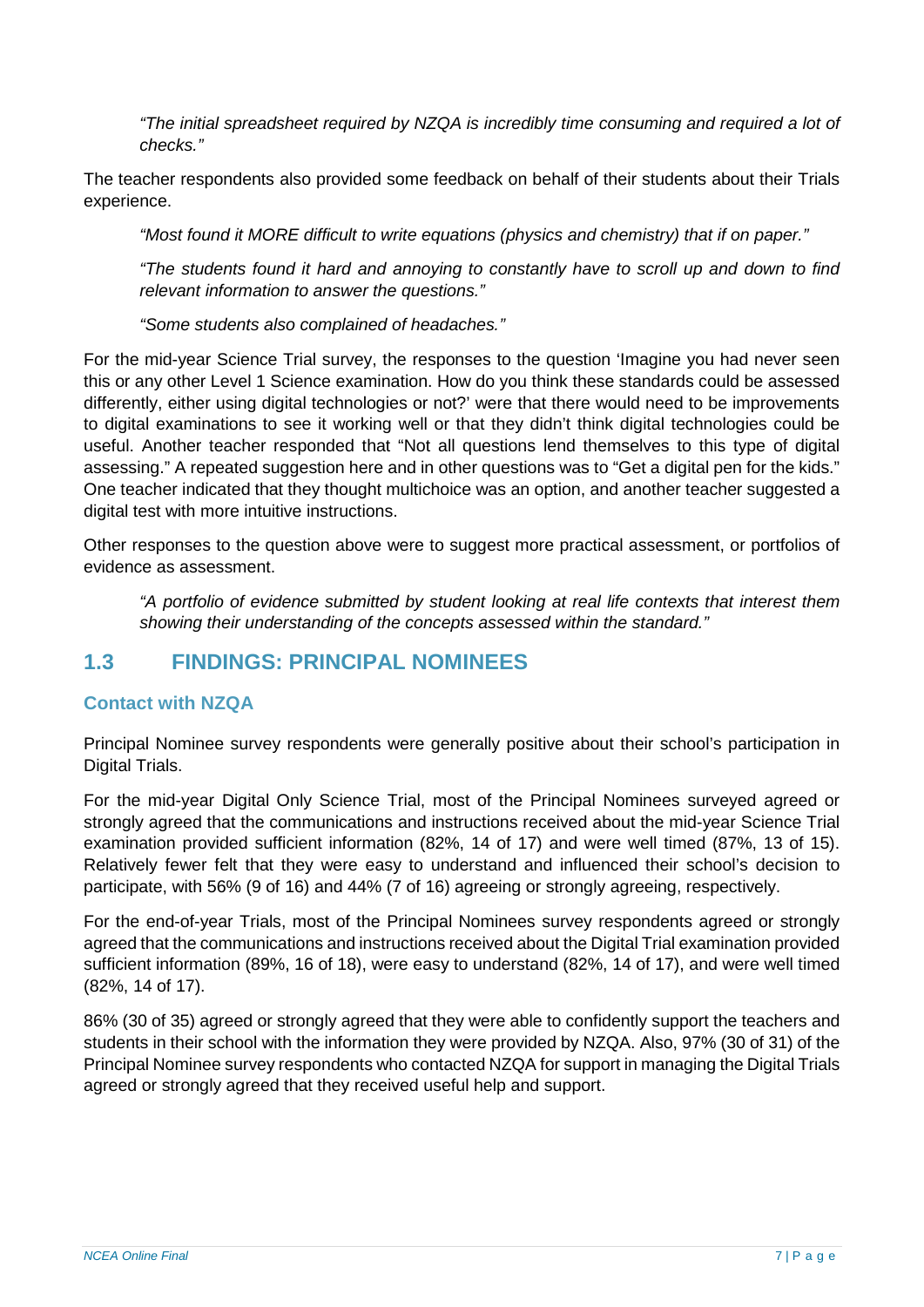*"The initial spreadsheet required by NZQA is incredibly time consuming and required a lot of checks."*

The teacher respondents also provided some feedback on behalf of their students about their Trials experience.

*"Most found it MORE difficult to write equations (physics and chemistry) that if on paper."* 

*"The students found it hard and annoying to constantly have to scroll up and down to find relevant information to answer the questions."*

*"Some students also complained of headaches."* 

For the mid-year Science Trial survey, the responses to the question 'Imagine you had never seen this or any other Level 1 Science examination. How do you think these standards could be assessed differently, either using digital technologies or not?' were that there would need to be improvements to digital examinations to see it working well or that they didn't think digital technologies could be useful. Another teacher responded that "Not all questions lend themselves to this type of digital assessing." A repeated suggestion here and in other questions was to "Get a digital pen for the kids." One teacher indicated that they thought multichoice was an option, and another teacher suggested a digital test with more intuitive instructions.

Other responses to the question above were to suggest more practical assessment, or portfolios of evidence as assessment.

*"A portfolio of evidence submitted by student looking at real life contexts that interest them showing their understanding of the concepts assessed within the standard."*

## <span id="page-6-0"></span>**1.3 FINDINGS: PRINCIPAL NOMINEES**

## <span id="page-6-1"></span>**Contact with NZQA**

Principal Nominee survey respondents were generally positive about their school's participation in Digital Trials.

For the mid-year Digital Only Science Trial, most of the Principal Nominees surveyed agreed or strongly agreed that the communications and instructions received about the mid-year Science Trial examination provided sufficient information (82%, 14 of 17) and were well timed (87%, 13 of 15). Relatively fewer felt that they were easy to understand and influenced their school's decision to participate, with 56% (9 of 16) and 44% (7 of 16) agreeing or strongly agreeing, respectively.

For the end-of-year Trials, most of the Principal Nominees survey respondents agreed or strongly agreed that the communications and instructions received about the Digital Trial examination provided sufficient information (89%, 16 of 18), were easy to understand (82%, 14 of 17), and were well timed (82%, 14 of 17).

86% (30 of 35) agreed or strongly agreed that they were able to confidently support the teachers and students in their school with the information they were provided by NZQA. Also, 97% (30 of 31) of the Principal Nominee survey respondents who contacted NZQA for support in managing the Digital Trials agreed or strongly agreed that they received useful help and support.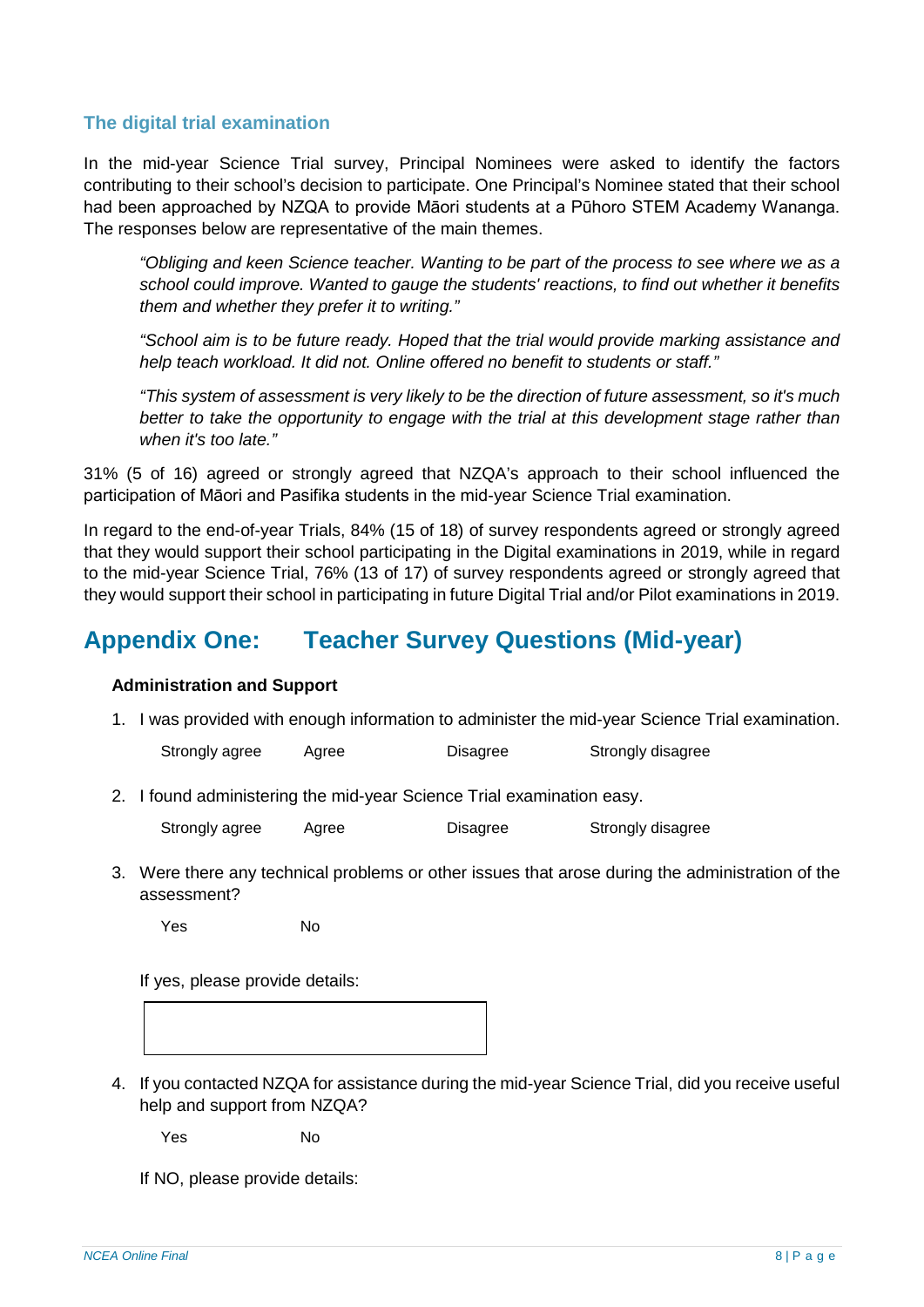## <span id="page-7-0"></span>**The digital trial examination**

In the mid-year Science Trial survey, Principal Nominees were asked to identify the factors contributing to their school's decision to participate. One Principal's Nominee stated that their school had been approached by NZQA to provide Māori students at a Pūhoro STEM Academy Wananga. The responses below are representative of the main themes.

*"Obliging and keen Science teacher. Wanting to be part of the process to see where we as a school could improve. Wanted to gauge the students' reactions, to find out whether it benefits them and whether they prefer it to writing."*

*"School aim is to be future ready. Hoped that the trial would provide marking assistance and help teach workload. It did not. Online offered no benefit to students or staff."*

*"This system of assessment is very likely to be the direction of future assessment, so it's much better to take the opportunity to engage with the trial at this development stage rather than when it's too late."*

31% (5 of 16) agreed or strongly agreed that NZQA's approach to their school influenced the participation of Māori and Pasifika students in the mid-year Science Trial examination.

In regard to the end-of-year Trials, 84% (15 of 18) of survey respondents agreed or strongly agreed that they would support their school participating in the Digital examinations in 2019, while in regard to the mid-year Science Trial, 76% (13 of 17) of survey respondents agreed or strongly agreed that they would support their school in participating in future Digital Trial and/or Pilot examinations in 2019.

# <span id="page-7-1"></span>**Appendix One: Teacher Survey Questions (Mid-year)**

## **Administration and Support**

1. I was provided with enough information to administer the mid-year Science Trial examination.

Strongly agree Agree Disagree Strongly disagree

2. I found administering the mid-year Science Trial examination easy.

Strongly agree Agree Disagree Strongly disagree

3. Were there any technical problems or other issues that arose during the administration of the assessment?

Yes No

If yes, please provide details:

4. If you contacted NZQA for assistance during the mid-year Science Trial, did you receive useful help and support from NZQA?

Yes No

If NO, please provide details: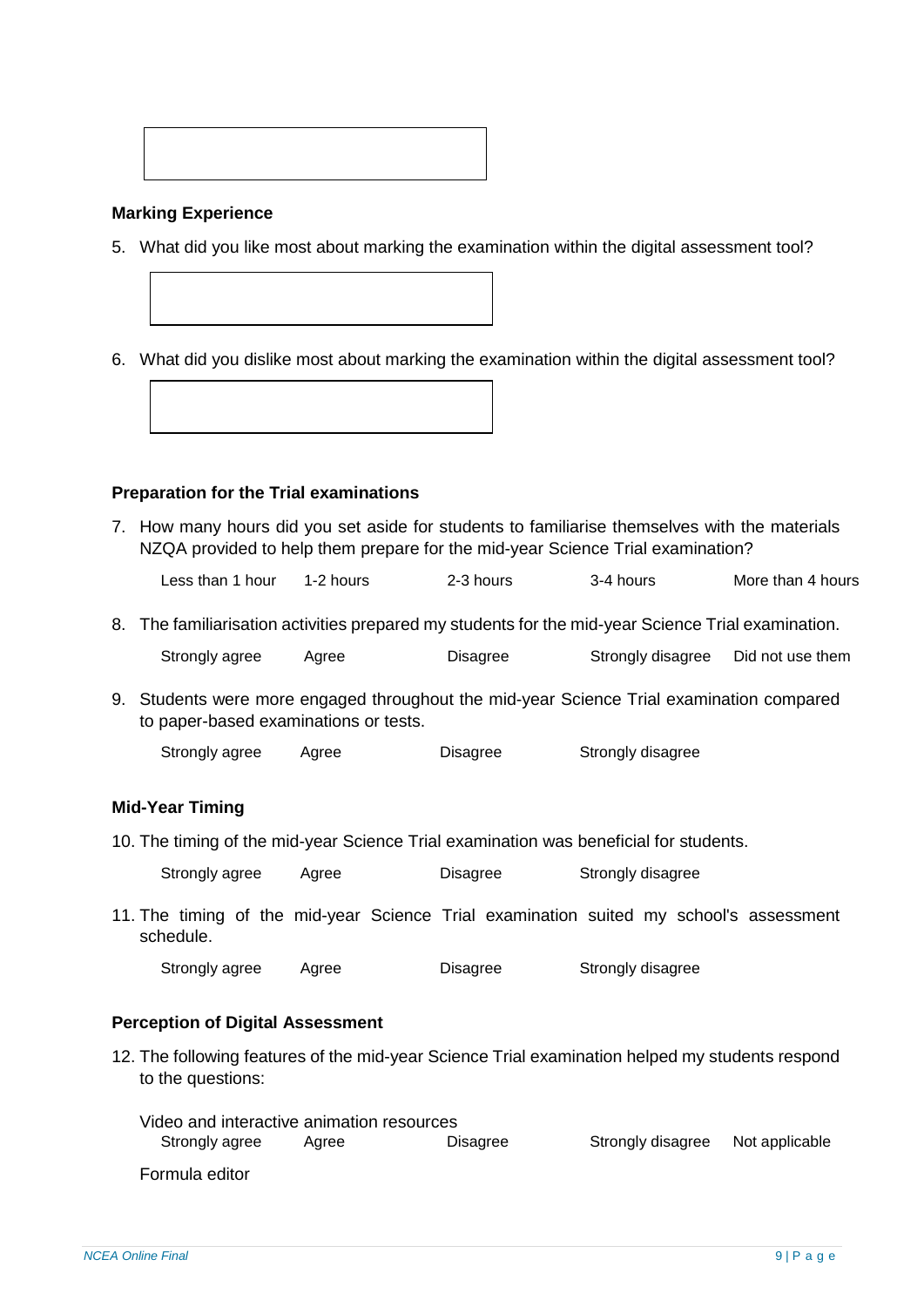

#### **Marking Experience**

5. What did you like most about marking the examination within the digital assessment tool?

6. What did you dislike most about marking the examination within the digital assessment tool?



7. How many hours did you set aside for students to familiarise themselves with the materials NZQA provided to help them prepare for the mid-year Science Trial examination?

Less than 1 hour 1-2 hours 2-3 hours 3-4 hours More than 4 hours

8. The familiarisation activities prepared my students for the mid-year Science Trial examination.

| Strongly agree | Agree | Disagree | Strongly disagree | Did not use them |
|----------------|-------|----------|-------------------|------------------|
|----------------|-------|----------|-------------------|------------------|

9. Students were more engaged throughout the mid-year Science Trial examination compared to paper-based examinations or tests.

Strongly agree Agree Disagree Strongly disagree

## **Mid-Year Timing**

10. The timing of the mid-year Science Trial examination was beneficial for students.

| Strongly agree | Agree | Disagree | Strongly disagree |
|----------------|-------|----------|-------------------|
|                |       |          |                   |

11. The timing of the mid-year Science Trial examination suited my school's assessment schedule.

Strongly agree Agree Disagree Strongly disagree

#### **Perception of Digital Assessment**

12. The following features of the mid-year Science Trial examination helped my students respond to the questions:

| Video and interactive animation resources |       |                 |                                  |  |
|-------------------------------------------|-------|-----------------|----------------------------------|--|
| Strongly agree                            | Aaree | <b>Disagree</b> | Strongly disagree Not applicable |  |
| Formula editor                            |       |                 |                                  |  |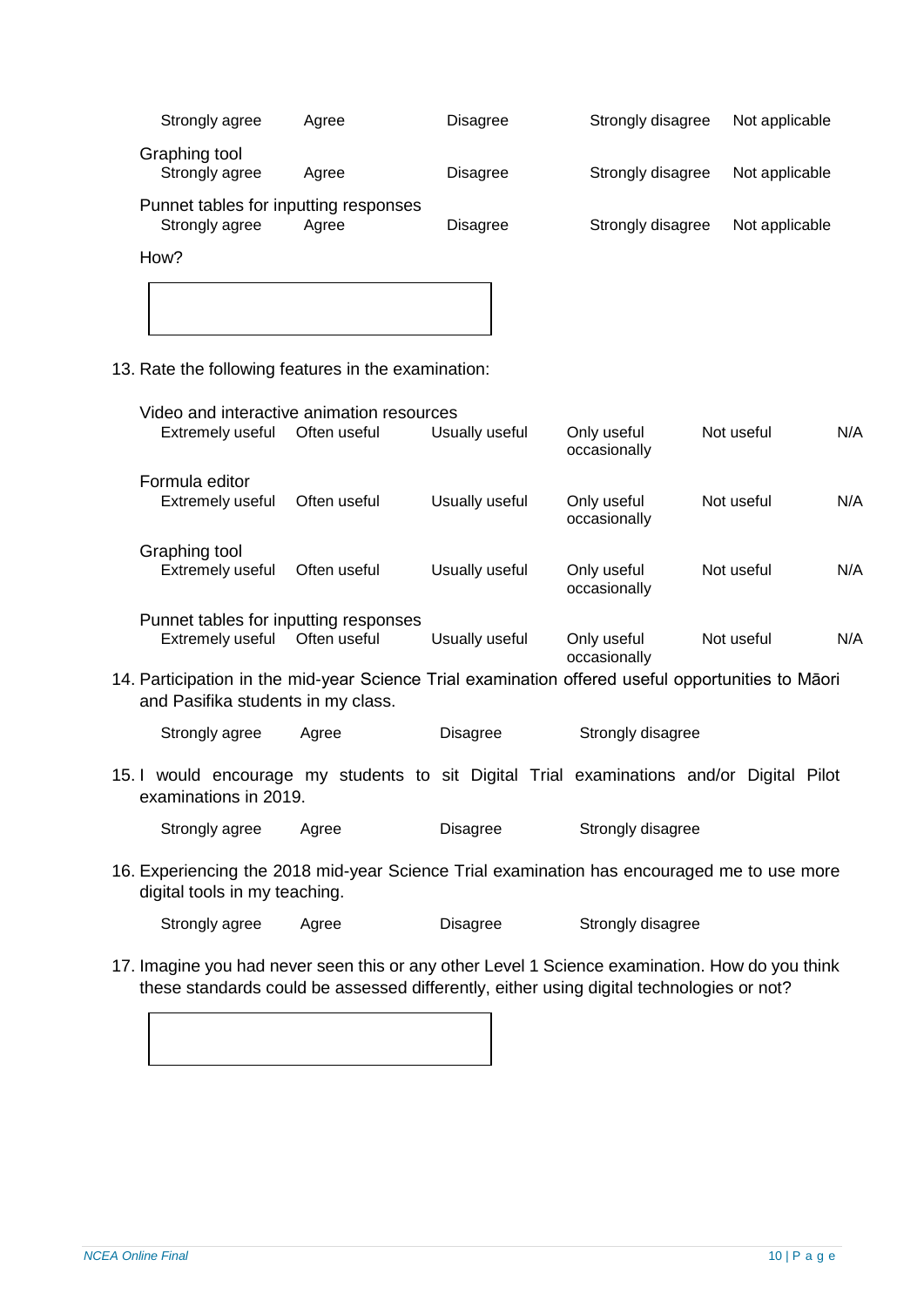| Strongly agree                                          | Agree | <b>Disagree</b> | Strongly disagree | Not applicable |
|---------------------------------------------------------|-------|-----------------|-------------------|----------------|
| Graphing tool<br>Strongly agree                         | Agree | <b>Disagree</b> | Strongly disagree | Not applicable |
| Punnet tables for inputting responses<br>Strongly agree | Agree | <b>Disagree</b> | Strongly disagree | Not applicable |
| How?                                                    |       |                 |                   |                |

13. Rate the following features in the examination:

| Video and interactive animation resources<br>Extremely useful | Often useful | Usually useful | Only useful<br>occasionally | Not useful | N/A |
|---------------------------------------------------------------|--------------|----------------|-----------------------------|------------|-----|
| Formula editor<br>Extremely useful                            | Often useful | Usually useful | Only useful<br>occasionally | Not useful | N/A |
| Graphing tool<br><b>Extremely useful</b>                      | Often useful | Usually useful | Only useful<br>occasionally | Not useful | N/A |
| Punnet tables for inputting responses<br>Extremely useful     | Often useful | Usually useful | Only useful<br>occasionally | Not useful | N/A |

14. Participation in the mid-year Science Trial examination offered useful opportunities to Māori and Pasifika students in my class.

Strongly agree Agree Disagree Strongly disagree

15. I would encourage my students to sit Digital Trial examinations and/or Digital Pilot examinations in 2019.

Strongly agree Agree Disagree Strongly disagree

16. Experiencing the 2018 mid-year Science Trial examination has encouraged me to use more digital tools in my teaching.

Strongly agree Agree Disagree Strongly disagree

17. Imagine you had never seen this or any other Level 1 Science examination. How do you think these standards could be assessed differently, either using digital technologies or not?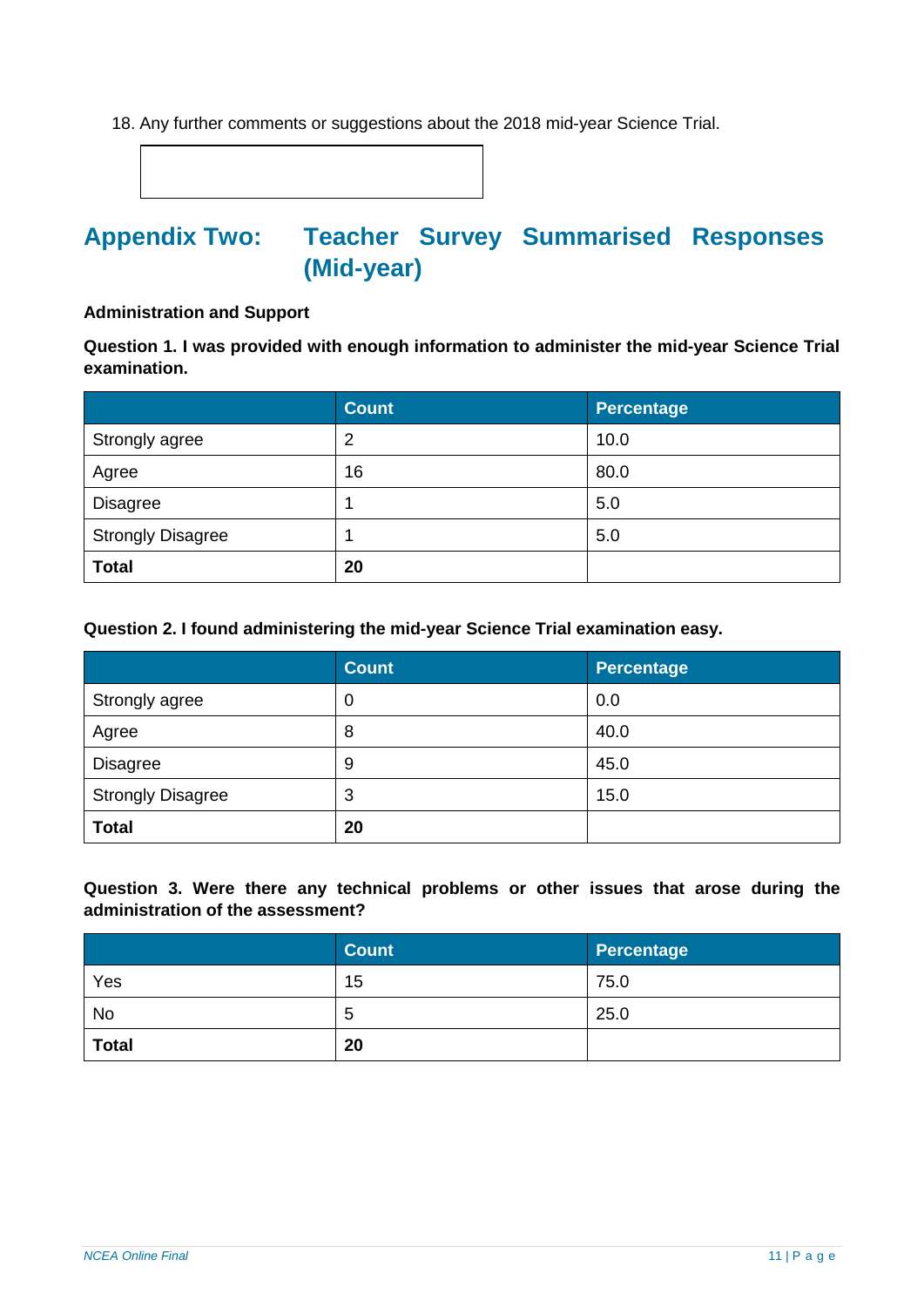18. Any further comments or suggestions about the 2018 mid-year Science Trial.

# <span id="page-10-0"></span>**Appendix Two: Teacher Survey Summarised Responses (Mid-year)**

#### **Administration and Support**

**Question 1. I was provided with enough information to administer the mid-year Science Trial examination.**

|                          | <b>Count</b>   | Percentage |
|--------------------------|----------------|------------|
| Strongly agree           | $\overline{2}$ | 10.0       |
| Agree                    | 16             | 80.0       |
| <b>Disagree</b>          |                | 5.0        |
| <b>Strongly Disagree</b> |                | 5.0        |
| <b>Total</b>             | 20             |            |

#### **Question 2. I found administering the mid-year Science Trial examination easy.**

|                          | <b>Count</b>     | <b>Percentage</b> |
|--------------------------|------------------|-------------------|
| Strongly agree           | $\boldsymbol{0}$ | 0.0               |
| Agree                    | 8                | 40.0              |
| <b>Disagree</b>          | 9                | 45.0              |
| <b>Strongly Disagree</b> | 3                | 15.0              |
| <b>Total</b>             | 20               |                   |

**Question 3. Were there any technical problems or other issues that arose during the administration of the assessment?**

|              | <b>Count</b> | Percentage |
|--------------|--------------|------------|
| Yes          | 15           | 75.0       |
| <b>No</b>    | 5            | 25.0       |
| <b>Total</b> | 20           |            |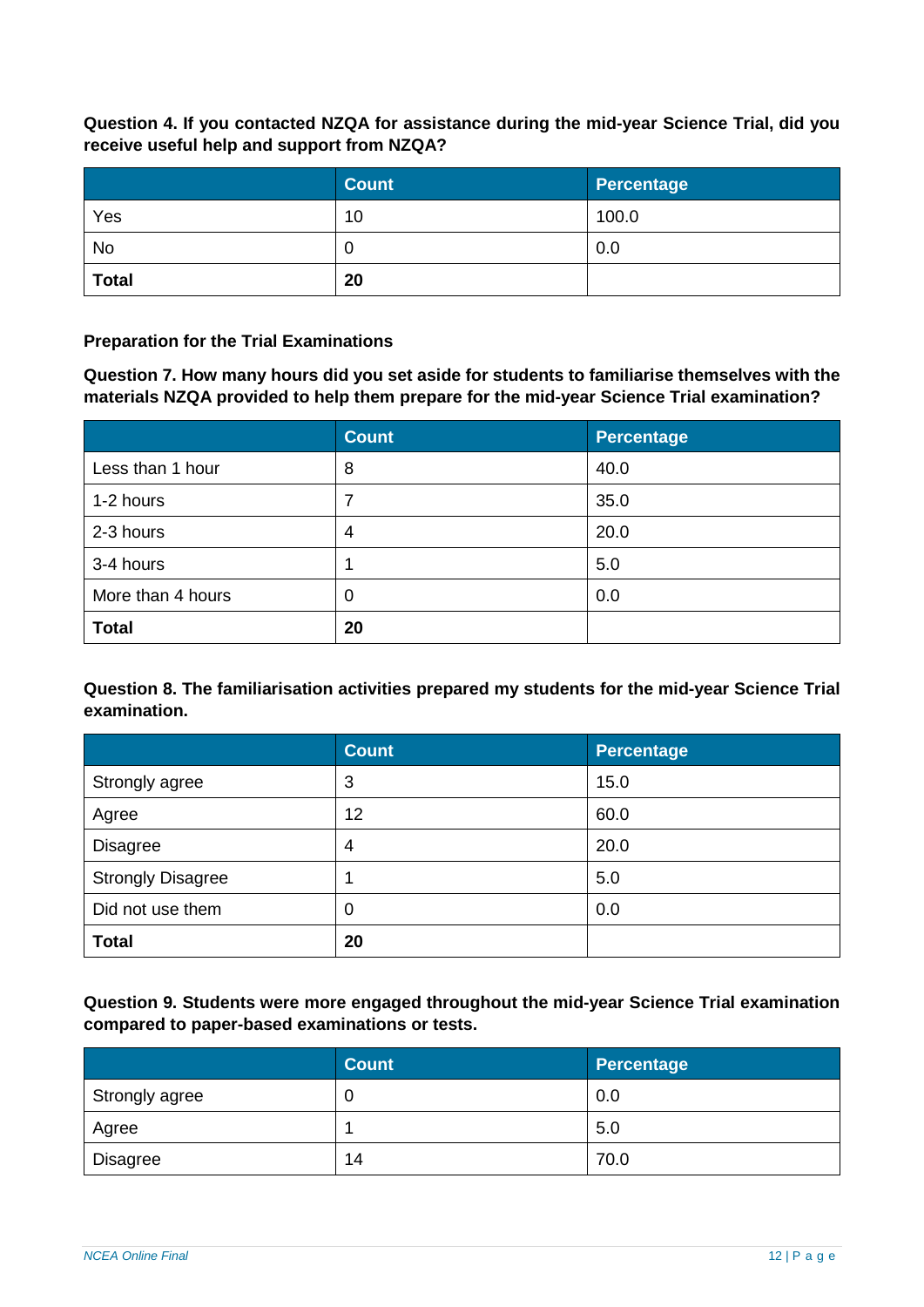**Question 4. If you contacted NZQA for assistance during the mid-year Science Trial, did you receive useful help and support from NZQA?**

|              | <b>Count</b> | Percentage |
|--------------|--------------|------------|
| Yes          | 10           | 100.0      |
| <b>No</b>    | 0            | 0.0        |
| <b>Total</b> | 20           |            |

## **Preparation for the Trial Examinations**

**Question 7. How many hours did you set aside for students to familiarise themselves with the materials NZQA provided to help them prepare for the mid-year Science Trial examination?**

|                   | <b>Count</b> | Percentage |
|-------------------|--------------|------------|
| Less than 1 hour  | 8            | 40.0       |
| 1-2 hours         |              | 35.0       |
| 2-3 hours         | 4            | 20.0       |
| 3-4 hours         |              | 5.0        |
| More than 4 hours | 0            | 0.0        |
| <b>Total</b>      | 20           |            |

**Question 8. The familiarisation activities prepared my students for the mid-year Science Trial examination.**

|                          | <b>Count</b> | <b>Percentage</b> |
|--------------------------|--------------|-------------------|
| Strongly agree           | 3            | 15.0              |
| Agree                    | 12           | 60.0              |
| <b>Disagree</b>          | 4            | 20.0              |
| <b>Strongly Disagree</b> |              | 5.0               |
| Did not use them         | 0            | 0.0               |
| <b>Total</b>             | 20           |                   |

**Question 9. Students were more engaged throughout the mid-year Science Trial examination compared to paper-based examinations or tests.**

|                | <b>Count</b> | Percentage |
|----------------|--------------|------------|
| Strongly agree | 0            | 0.0        |
| Agree          |              | 5.0        |
| Disagree       | 14           | 70.0       |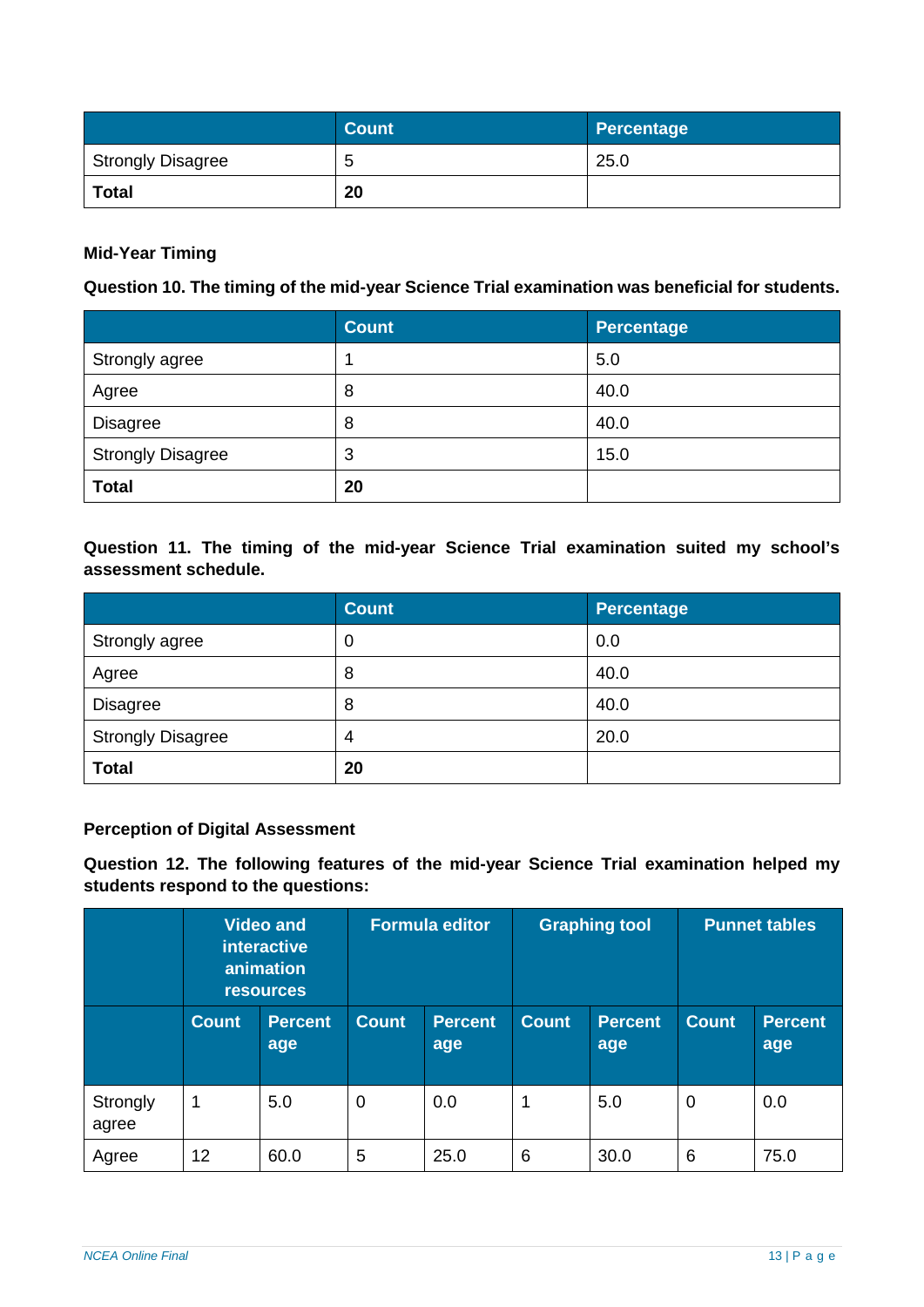|                          | <b>Count</b> | Percentage |
|--------------------------|--------------|------------|
| <b>Strongly Disagree</b> | э            | 25.0       |
| <b>Total</b>             | 20           |            |

## **Mid-Year Timing**

## **Question 10. The timing of the mid-year Science Trial examination was beneficial for students.**

|                          | <b>Count</b> | Percentage |
|--------------------------|--------------|------------|
| Strongly agree           |              | 5.0        |
| Agree                    | 8            | 40.0       |
| <b>Disagree</b>          | 8            | 40.0       |
| <b>Strongly Disagree</b> | 3            | 15.0       |
| <b>Total</b>             | 20           |            |

## **Question 11. The timing of the mid-year Science Trial examination suited my school's assessment schedule.**

|                          | <b>Count</b>     | <b>Percentage</b> |
|--------------------------|------------------|-------------------|
| Strongly agree           | $\boldsymbol{0}$ | 0.0               |
| Agree                    | 8                | 40.0              |
| <b>Disagree</b>          | 8                | 40.0              |
| <b>Strongly Disagree</b> | 4                | 20.0              |
| <b>Total</b>             | 20               |                   |

#### **Perception of Digital Assessment**

**Question 12. The following features of the mid-year Science Trial examination helped my students respond to the questions:**

|                   |              | <b>Video and</b><br><b>interactive</b><br>animation<br><b>resources</b> | <b>Formula editor</b> |                       |              | <b>Graphing tool</b>  |                | <b>Punnet tables</b>  |
|-------------------|--------------|-------------------------------------------------------------------------|-----------------------|-----------------------|--------------|-----------------------|----------------|-----------------------|
|                   | <b>Count</b> | <b>Percent</b><br>age                                                   | <b>Count</b>          | <b>Percent</b><br>age | <b>Count</b> | <b>Percent</b><br>age | <b>Count</b>   | <b>Percent</b><br>age |
| Strongly<br>agree | 1            | 5.0                                                                     | $\overline{0}$        | 0.0                   | 1            | 5.0                   | $\overline{0}$ | 0.0                   |
| Agree             | 12           | 60.0                                                                    | 5                     | 25.0                  | 6            | 30.0                  | 6              | 75.0                  |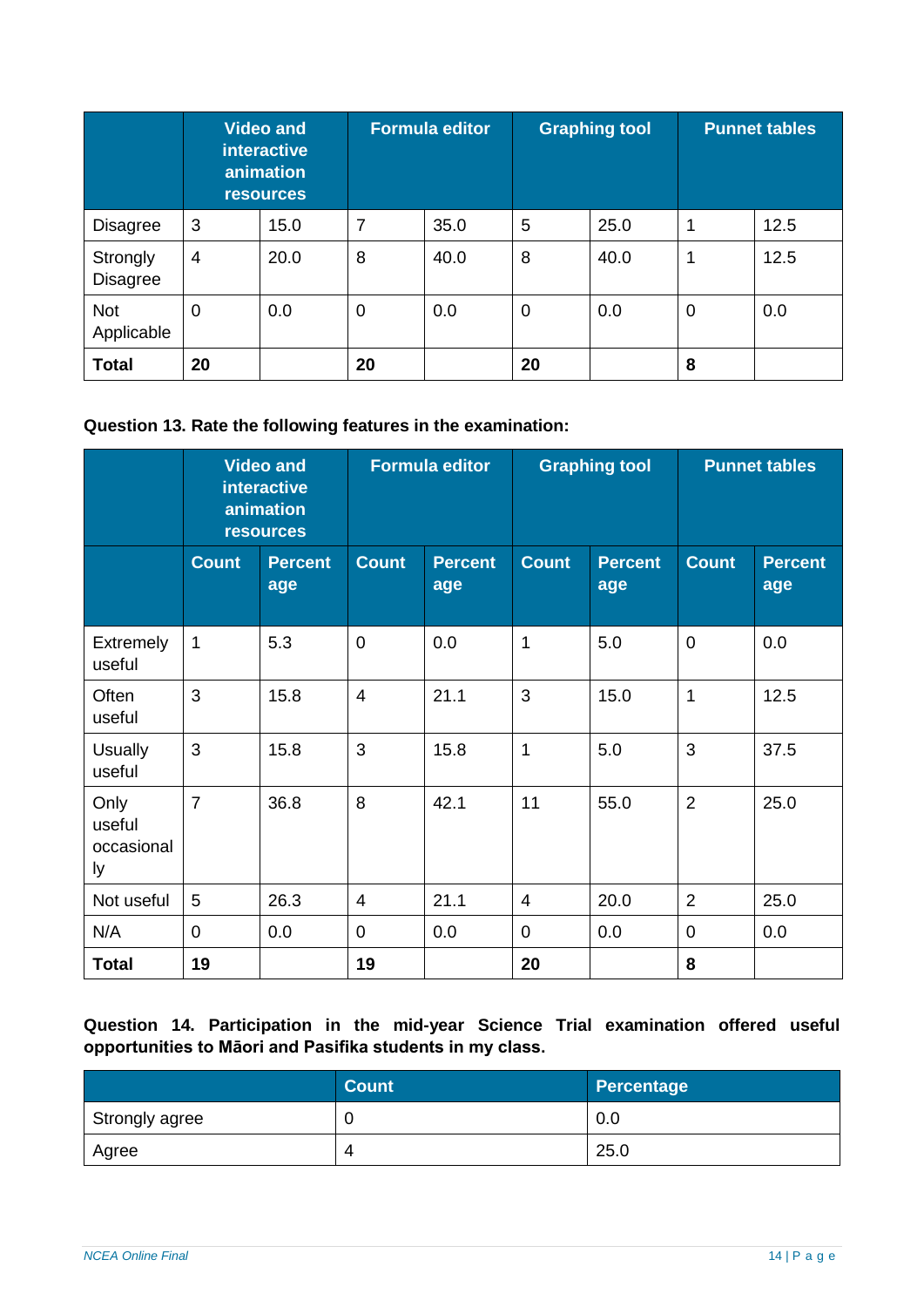|                             |                | <b>Video and</b><br><b>interactive</b><br>animation<br><b>resources</b> | <b>Formula editor</b> |      | <b>Graphing tool</b> |      | <b>Punnet tables</b> |      |
|-----------------------------|----------------|-------------------------------------------------------------------------|-----------------------|------|----------------------|------|----------------------|------|
| <b>Disagree</b>             | 3              | 15.0                                                                    | 7                     | 35.0 | 5                    | 25.0 |                      | 12.5 |
| Strongly<br><b>Disagree</b> | $\overline{4}$ | 20.0                                                                    | 8                     | 40.0 | 8                    | 40.0 | 1                    | 12.5 |
| Not<br>Applicable           | $\overline{0}$ | 0.0                                                                     | $\mathbf 0$           | 0.0  | 0                    | 0.0  | 0                    | 0.0  |
| <b>Total</b>                | 20             |                                                                         | 20                    |      | 20                   |      | 8                    |      |

## **Question 13. Rate the following features in the examination:**

|                                    |                | <b>Video and</b><br><b>interactive</b><br>animation<br><b>resources</b> |                          | <b>Formula editor</b><br><b>Graphing tool</b> |                | <b>Punnet tables</b>  |                |                       |
|------------------------------------|----------------|-------------------------------------------------------------------------|--------------------------|-----------------------------------------------|----------------|-----------------------|----------------|-----------------------|
|                                    | <b>Count</b>   | <b>Percent</b><br>age                                                   | <b>Count</b>             | <b>Percent</b><br>age                         | <b>Count</b>   | <b>Percent</b><br>age | <b>Count</b>   | <b>Percent</b><br>age |
| Extremely<br>useful                | 1              | 5.3                                                                     | $\mathbf 0$              | 0.0                                           | 1              | 5.0                   | $\mathbf 0$    | 0.0                   |
| Often<br>useful                    | 3              | 15.8                                                                    | $\overline{\mathcal{A}}$ | 21.1                                          | 3              | 15.0                  | 1              | 12.5                  |
| <b>Usually</b><br>useful           | 3              | 15.8                                                                    | 3                        | 15.8                                          | $\mathbf 1$    | 5.0                   | 3              | 37.5                  |
| Only<br>useful<br>occasional<br>ly | $\overline{7}$ | 36.8                                                                    | 8                        | 42.1                                          | 11             | 55.0                  | $\overline{2}$ | 25.0                  |
| Not useful                         | 5              | 26.3                                                                    | $\overline{4}$           | 21.1                                          | $\overline{4}$ | 20.0                  | $\overline{2}$ | 25.0                  |
| N/A                                | $\overline{0}$ | 0.0                                                                     | $\overline{0}$           | 0.0                                           | $\overline{0}$ | 0.0                   | $\overline{0}$ | 0.0                   |
| <b>Total</b>                       | 19             |                                                                         | 19                       |                                               | 20             |                       | 8              |                       |

## **Question 14. Participation in the mid-year Science Trial examination offered useful opportunities to Māori and Pasifika students in my class.**

|                | <b>Count</b> | Percentage |
|----------------|--------------|------------|
| Strongly agree |              | 0.0        |
| Agree          | Δ            | 25.0       |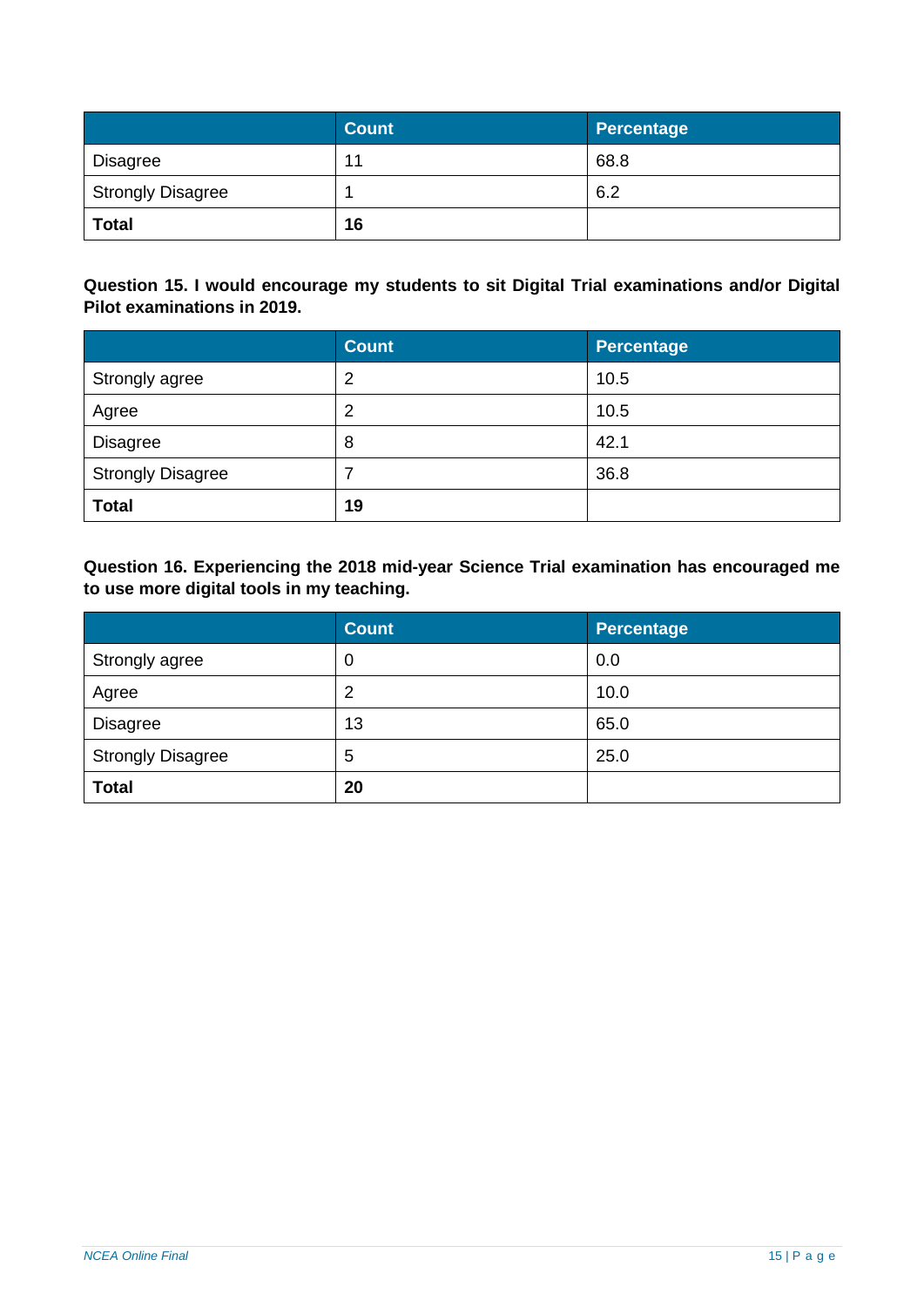|                          | <b>Count</b> | Percentage |
|--------------------------|--------------|------------|
| Disagree                 | 11           | 68.8       |
| <b>Strongly Disagree</b> |              | 6.2        |
| <b>Total</b>             | 16           |            |

**Question 15. I would encourage my students to sit Digital Trial examinations and/or Digital Pilot examinations in 2019.**

|                          | <b>Count</b> | <b>Percentage</b> |
|--------------------------|--------------|-------------------|
| Strongly agree           | 2            | 10.5              |
| Agree                    | 2            | 10.5              |
| <b>Disagree</b>          | 8            | 42.1              |
| <b>Strongly Disagree</b> |              | 36.8              |
| <b>Total</b>             | 19           |                   |

**Question 16. Experiencing the 2018 mid-year Science Trial examination has encouraged me to use more digital tools in my teaching.**

|                          | <b>Count</b>     | <b>Percentage</b> |
|--------------------------|------------------|-------------------|
| Strongly agree           | $\boldsymbol{0}$ | 0.0               |
| Agree                    | $\overline{2}$   | 10.0              |
| <b>Disagree</b>          | 13               | 65.0              |
| <b>Strongly Disagree</b> | 5                | 25.0              |
| <b>Total</b>             | 20               |                   |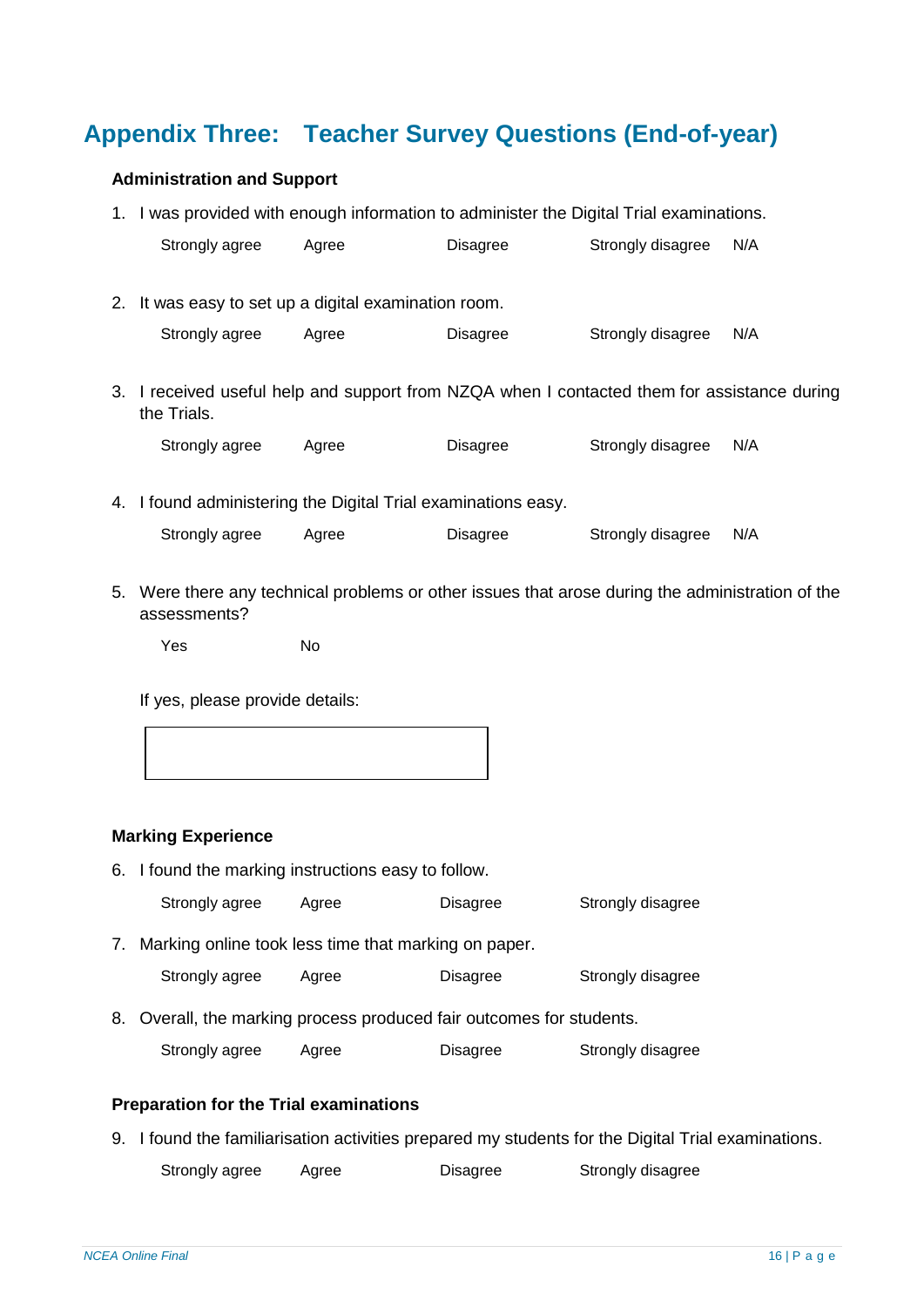# <span id="page-15-0"></span>**Appendix Three: Teacher Survey Questions (End-of-year)**

### **Administration and Support**

|    | 1. I was provided with enough information to administer the Digital Trial examinations.                    |       |          |                   |     |
|----|------------------------------------------------------------------------------------------------------------|-------|----------|-------------------|-----|
|    | Strongly agree                                                                                             | Agree | Disagree | Strongly disagree | N/A |
|    |                                                                                                            |       |          |                   |     |
| 2. | It was easy to set up a digital examination room.                                                          |       |          |                   |     |
|    | Strongly agree                                                                                             | Agree | Disagree | Strongly disagree | N/A |
|    |                                                                                                            |       |          |                   |     |
|    | 3. I received useful help and support from NZQA when I contacted them for assistance during<br>the Trials. |       |          |                   |     |
|    | Strongly agree                                                                                             | Agree | Disagree | Strongly disagree | N/A |
|    |                                                                                                            |       |          |                   |     |
|    | 4. I found administering the Digital Trial examinations easy.                                              |       |          |                   |     |
|    | Strongly agree                                                                                             | Agree | Disagree | Strongly disagree | N/A |
|    |                                                                                                            |       |          |                   |     |

5. Were there any technical problems or other issues that arose during the administration of the assessments?

Yes No

If yes, please provide details:

| ,一个人的人都是一个人的人,一个人的人,一个人的人,一个人的人,一个人的人,一个人的人,一个人的人,一个人的人,一个人的人,一个人的人,一个人的人,一个人的人,<br>第111章 一个人的人,一个人的人,一个人的人,一个人的人,一个人的人,一个人的人,一个人的人,一个人的人,一个人的人,一个人的人,一个人的人,一个人的人,一个 |  |  |
|----------------------------------------------------------------------------------------------------------------------------------------------------------------------|--|--|

## **Marking Experience**

|  |  | 6. I found the marking instructions easy to follow. |
|--|--|-----------------------------------------------------|
|--|--|-----------------------------------------------------|

Strongly agree Agree Disagree Strongly disagree

7. Marking online took less time that marking on paper.

Strongly agree Agree Disagree Strongly disagree

8. Overall, the marking process produced fair outcomes for students.

Strongly agree Agree Disagree Strongly disagree

## **Preparation for the Trial examinations**

9. I found the familiarisation activities prepared my students for the Digital Trial examinations.

Strongly agree Agree Disagree Strongly disagree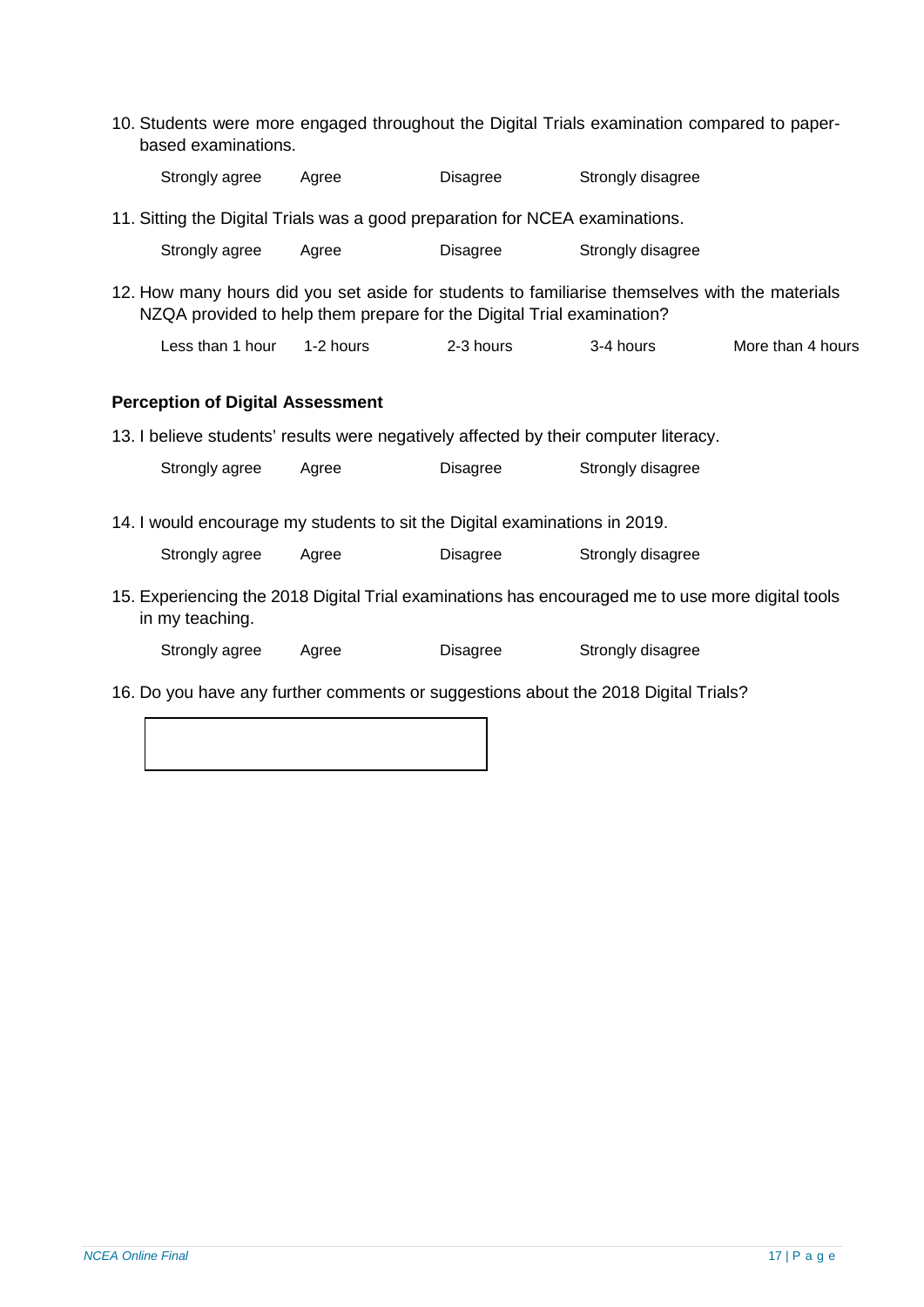10. Students were more engaged throughout the Digital Trials examination compared to paperbased examinations.

| Strongly agree | Agree | Disagree | Strongly disagree |
|----------------|-------|----------|-------------------|
|                |       |          |                   |

11. Sitting the Digital Trials was a good preparation for NCEA examinations.

| Strongly agree | Agree | Disagree | Strongly disagree |
|----------------|-------|----------|-------------------|
|                |       |          |                   |

12. How many hours did you set aside for students to familiarise themselves with the materials NZQA provided to help them prepare for the Digital Trial examination?

```
Less than 1 hour 1-2 hours 2-3 hours 3-4 hours More than 4 hours
```
## **Perception of Digital Assessment**

13. I believe students' results were negatively affected by their computer literacy.

Strongly agree Agree Disagree Strongly disagree

14. I would encourage my students to sit the Digital examinations in 2019.

| Strongly agree | Agree | Disagree | Strongly disagree |
|----------------|-------|----------|-------------------|
|                |       |          |                   |

15. Experiencing the 2018 Digital Trial examinations has encouraged me to use more digital tools in my teaching.

Strongly agree Agree Disagree Strongly disagree

16. Do you have any further comments or suggestions about the 2018 Digital Trials?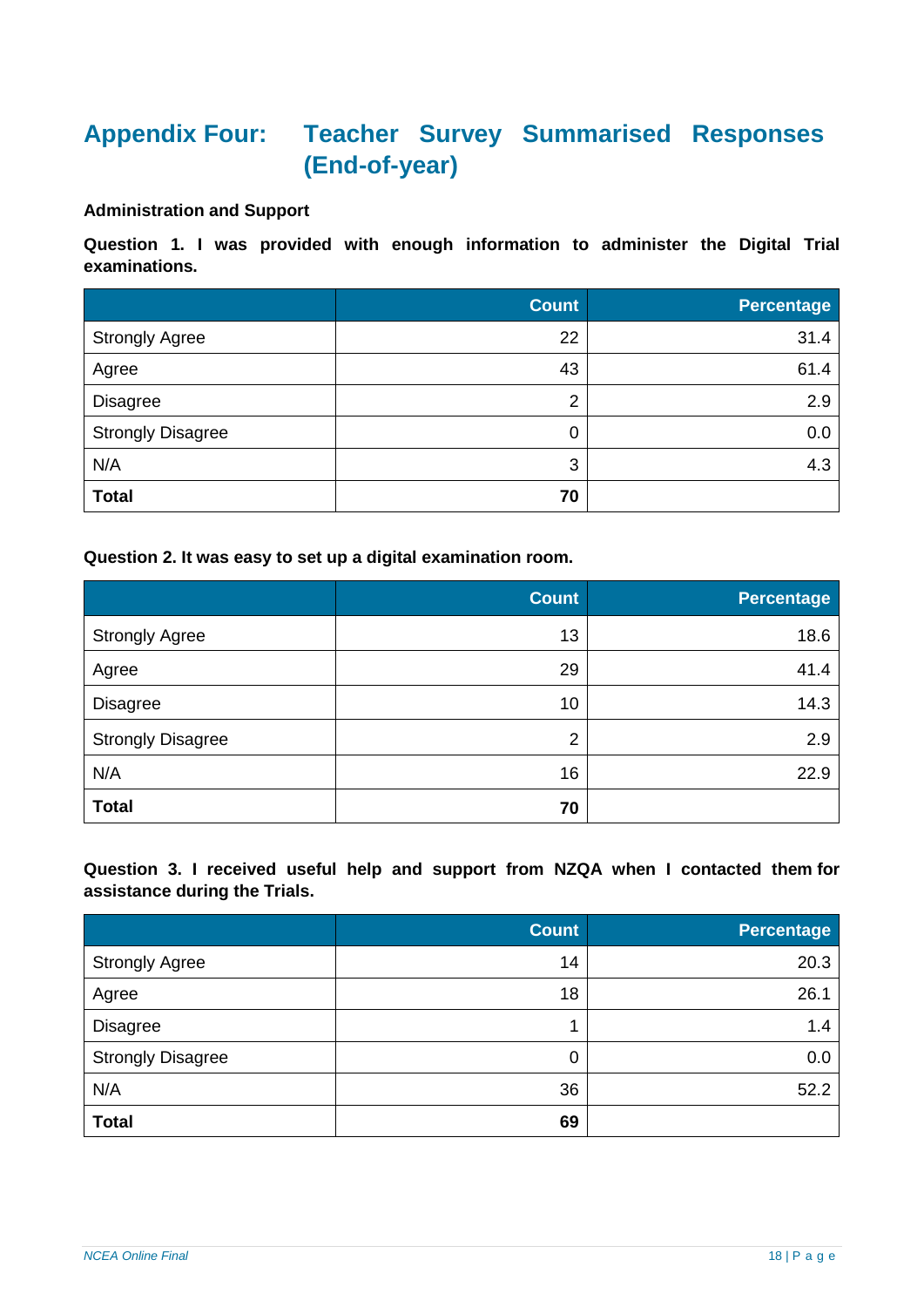# <span id="page-17-0"></span>**Appendix Four: Teacher Survey Summarised Responses (End-of-year)**

## **Administration and Support**

**Question 1. I was provided with enough information to administer the Digital Trial examinations.**

|                          | <b>Count</b> | Percentage |
|--------------------------|--------------|------------|
| <b>Strongly Agree</b>    | 22           | 31.4       |
| Agree                    | 43           | 61.4       |
| <b>Disagree</b>          | 2            | 2.9        |
| <b>Strongly Disagree</b> | 0            | 0.0        |
| N/A                      | 3            | 4.3        |
| <b>Total</b>             | 70           |            |

**Question 2. It was easy to set up a digital examination room.**

|                          | <b>Count</b>   | <b>Percentage</b> |
|--------------------------|----------------|-------------------|
| <b>Strongly Agree</b>    | 13             | 18.6              |
| Agree                    | 29             | 41.4              |
| <b>Disagree</b>          | 10             | 14.3              |
| <b>Strongly Disagree</b> | $\overline{2}$ | 2.9               |
| N/A                      | 16             | 22.9              |
| <b>Total</b>             | 70             |                   |

**Question 3. I received useful help and support from NZQA when I contacted them for assistance during the Trials.**

|                          | <b>Count</b> | <b>Percentage</b> |
|--------------------------|--------------|-------------------|
| <b>Strongly Agree</b>    | 14           | 20.3              |
| Agree                    | 18           | 26.1              |
| <b>Disagree</b>          | 4            | 1.4               |
| <b>Strongly Disagree</b> | 0            | 0.0               |
| N/A                      | 36           | 52.2              |
| <b>Total</b>             | 69           |                   |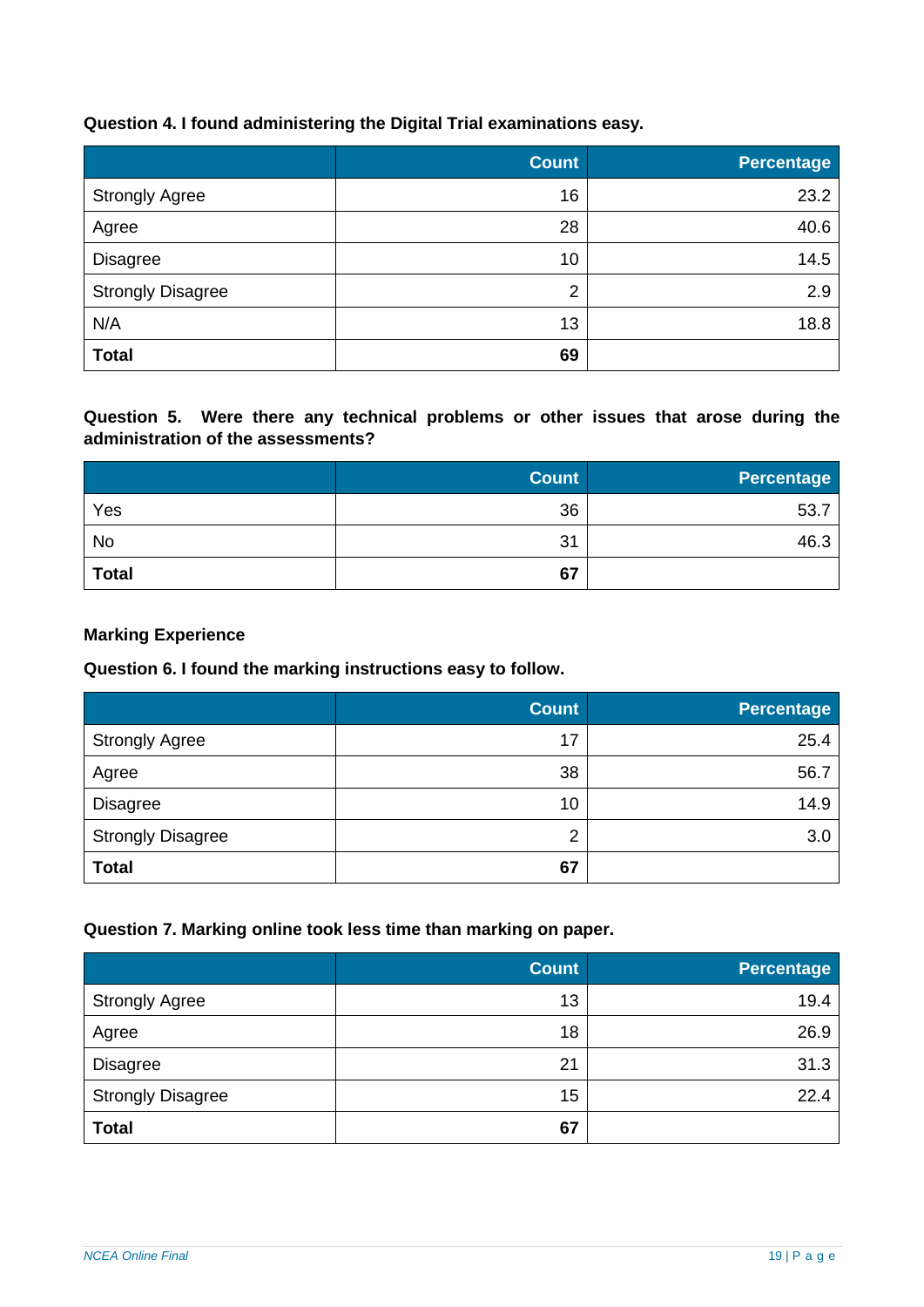## **Question 4. I found administering the Digital Trial examinations easy.**

|                          | <b>Count</b>   | <b>Percentage</b> |
|--------------------------|----------------|-------------------|
| <b>Strongly Agree</b>    | 16             | 23.2              |
| Agree                    | 28             | 40.6              |
| <b>Disagree</b>          | 10             | 14.5              |
| <b>Strongly Disagree</b> | $\overline{2}$ | 2.9               |
| N/A                      | 13             | 18.8              |
| <b>Total</b>             | 69             |                   |

**Question 5. Were there any technical problems or other issues that arose during the administration of the assessments?**

|              | <b>Count</b> | <b>Percentage</b> |
|--------------|--------------|-------------------|
| Yes          | 36           | 53.7              |
| <b>No</b>    | 31           | 46.3              |
| <b>Total</b> | 67           |                   |

#### **Marking Experience**

## **Question 6. I found the marking instructions easy to follow.**

|                          | <b>Count</b> | <b>Percentage</b> |
|--------------------------|--------------|-------------------|
| <b>Strongly Agree</b>    | 17           | 25.4              |
| Agree                    | 38           | 56.7              |
| <b>Disagree</b>          | 10           | 14.9              |
| <b>Strongly Disagree</b> | 2            | 3.0               |
| <b>Total</b>             | 67           |                   |

#### **Question 7. Marking online took less time than marking on paper.**

|                          | <b>Count</b> | <b>Percentage</b> |
|--------------------------|--------------|-------------------|
| <b>Strongly Agree</b>    | 13           | 19.4              |
| Agree                    | 18           | 26.9              |
| <b>Disagree</b>          | 21           | 31.3              |
| <b>Strongly Disagree</b> | 15           | 22.4              |
| <b>Total</b>             | 67           |                   |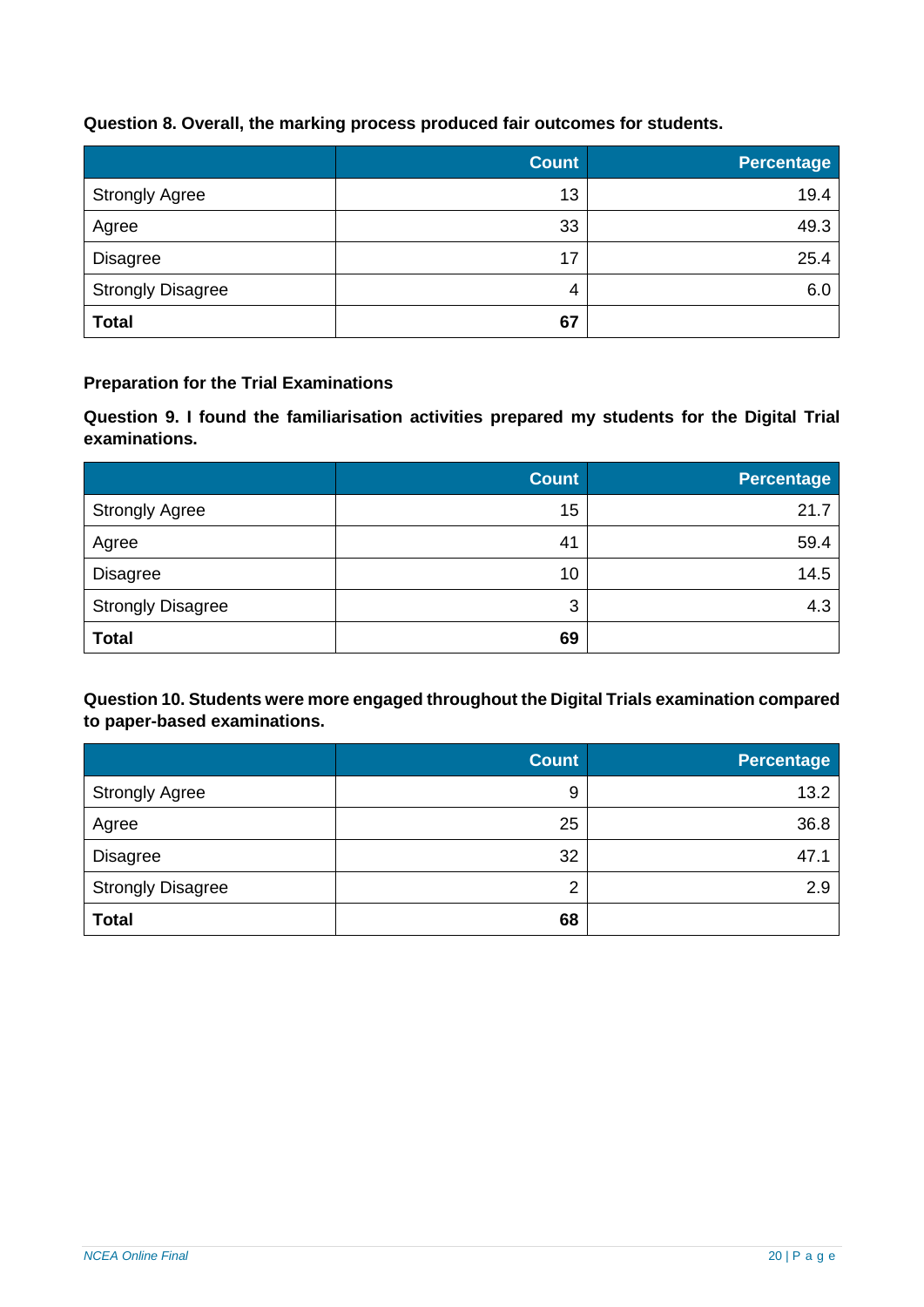## **Question 8. Overall, the marking process produced fair outcomes for students.**

|                          | <b>Count</b> | <b>Percentage</b> |
|--------------------------|--------------|-------------------|
| <b>Strongly Agree</b>    | 13           | 19.4              |
| Agree                    | 33           | 49.3              |
| <b>Disagree</b>          | 17           | 25.4              |
| <b>Strongly Disagree</b> | 4            | 6.0               |
| <b>Total</b>             | 67           |                   |

## **Preparation for the Trial Examinations**

**Question 9. I found the familiarisation activities prepared my students for the Digital Trial examinations.**

|                          | <b>Count</b> | <b>Percentage</b> |
|--------------------------|--------------|-------------------|
| <b>Strongly Agree</b>    | 15           | 21.7              |
| Agree                    | 41           | 59.4              |
| <b>Disagree</b>          | 10           | 14.5              |
| <b>Strongly Disagree</b> | 3            | 4.3               |
| <b>Total</b>             | 69           |                   |

## **Question 10. Students were more engaged throughout the Digital Trials examination compared to paper-based examinations.**

|                          | <b>Count</b>   | Percentage |
|--------------------------|----------------|------------|
| <b>Strongly Agree</b>    | 9              | 13.2       |
| Agree                    | 25             | 36.8       |
| <b>Disagree</b>          | 32             | 47.1       |
| <b>Strongly Disagree</b> | $\overline{2}$ | 2.9        |
| <b>Total</b>             | 68             |            |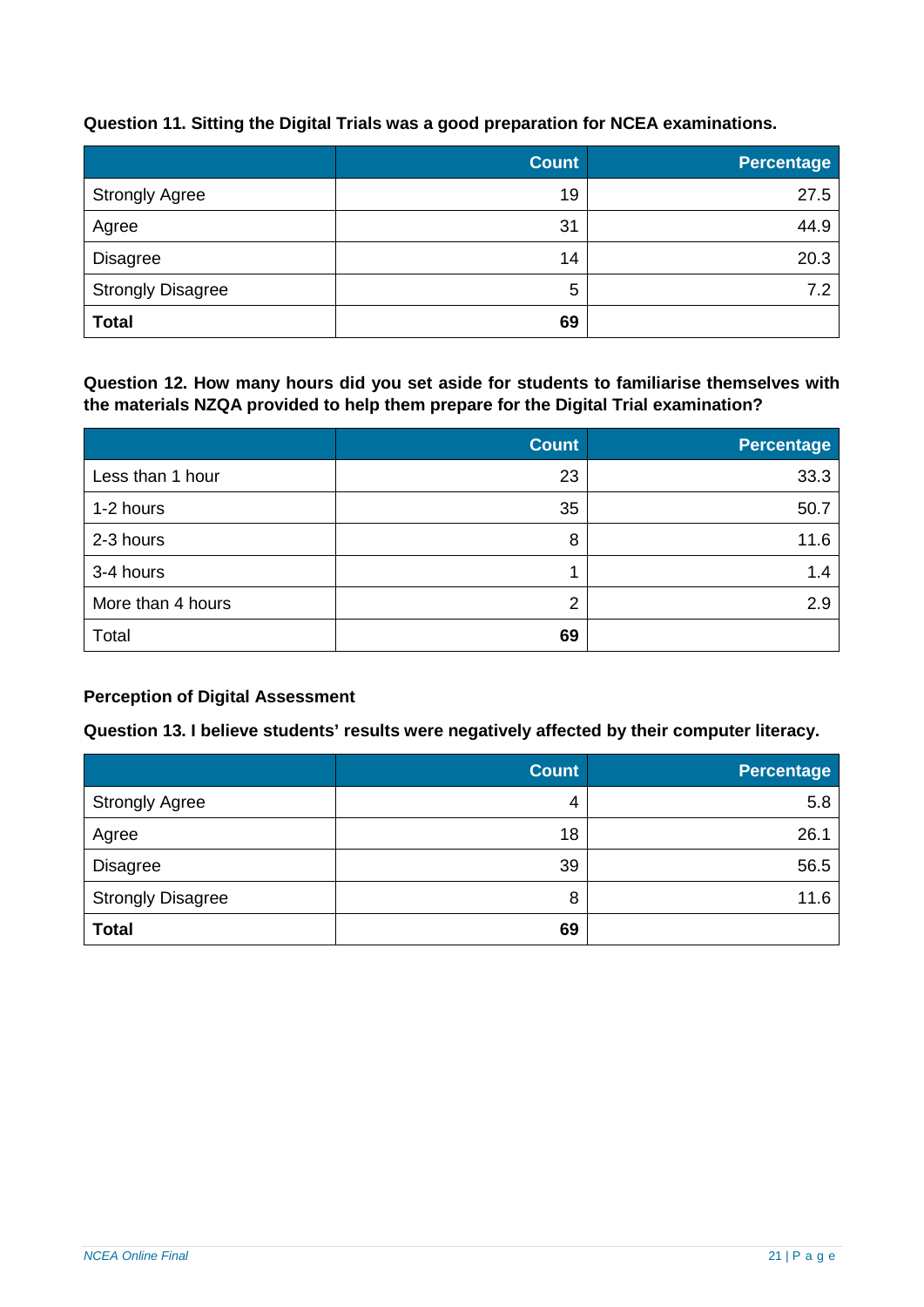## **Question 11. Sitting the Digital Trials was a good preparation for NCEA examinations.**

|                          | <b>Count</b> | <b>Percentage</b> |
|--------------------------|--------------|-------------------|
| <b>Strongly Agree</b>    | 19           | 27.5              |
| Agree                    | 31           | 44.9              |
| <b>Disagree</b>          | 14           | 20.3              |
| <b>Strongly Disagree</b> | 5            | 7.2               |
| <b>Total</b>             | 69           |                   |

**Question 12. How many hours did you set aside for students to familiarise themselves with the materials NZQA provided to help them prepare for the Digital Trial examination?**

|                   | <b>Count</b> | Percentage |
|-------------------|--------------|------------|
| Less than 1 hour  | 23           | 33.3       |
| 1-2 hours         | 35           | 50.7       |
| 2-3 hours         | 8            | 11.6       |
| 3-4 hours         |              | 1.4        |
| More than 4 hours | 2            | 2.9        |
| Total             | 69           |            |

## **Perception of Digital Assessment**

## **Question 13. I believe students' results were negatively affected by their computer literacy.**

|                          | <b>Count</b> | <b>Percentage</b> |
|--------------------------|--------------|-------------------|
| <b>Strongly Agree</b>    | 4            | 5.8               |
| Agree                    | 18           | 26.1              |
| <b>Disagree</b>          | 39           | 56.5              |
| <b>Strongly Disagree</b> | 8            | 11.6              |
| <b>Total</b>             | 69           |                   |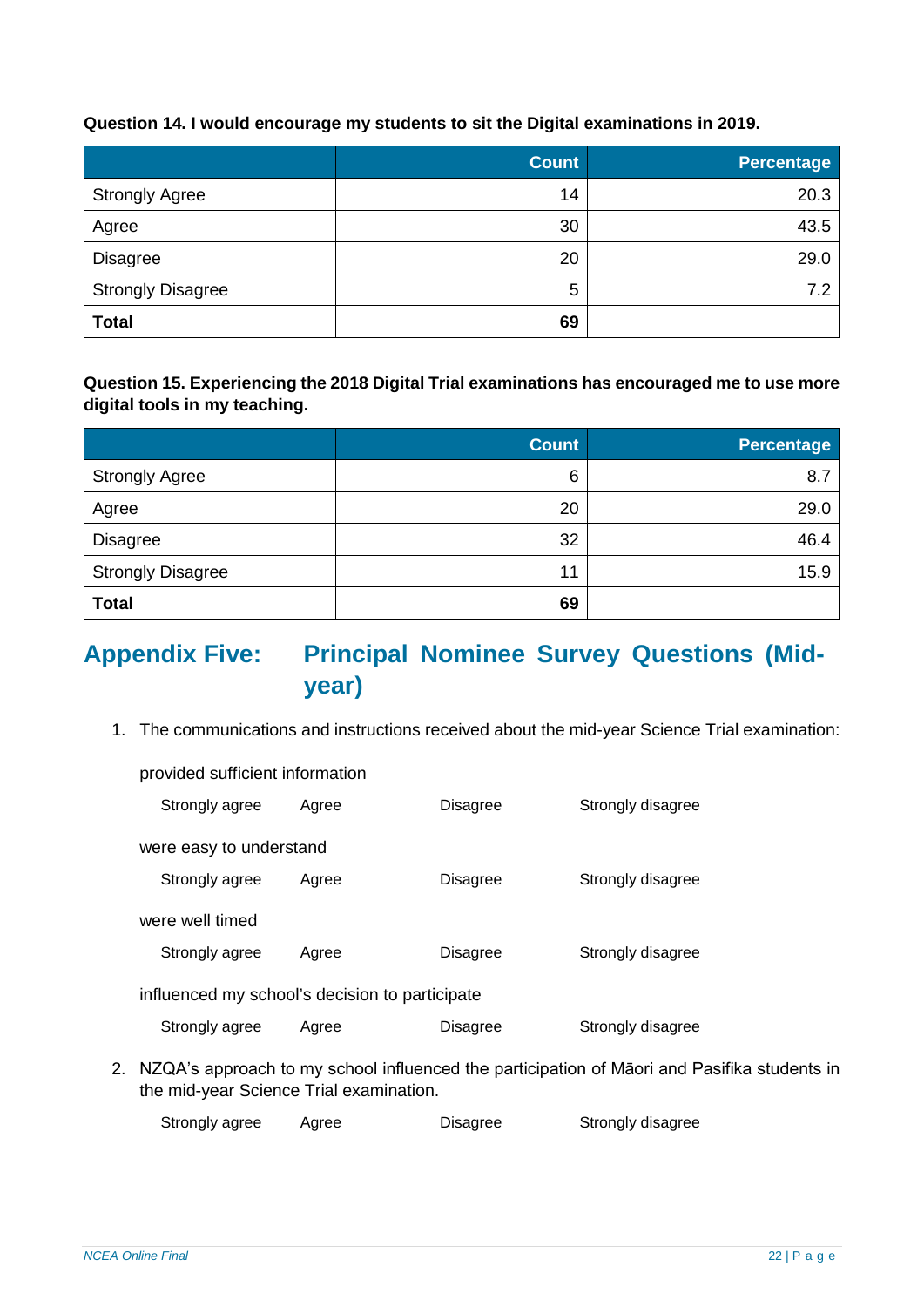## **Question 14. I would encourage my students to sit the Digital examinations in 2019.**

|                          | <b>Count</b> | <b>Percentage</b> |
|--------------------------|--------------|-------------------|
| <b>Strongly Agree</b>    | 14           | 20.3              |
| Agree                    | 30           | 43.5              |
| <b>Disagree</b>          | 20           | 29.0              |
| <b>Strongly Disagree</b> | 5            | 7.2               |
| <b>Total</b>             | 69           |                   |

## **Question 15. Experiencing the 2018 Digital Trial examinations has encouraged me to use more digital tools in my teaching.**

|                          | <b>Count</b> | <b>Percentage</b> |
|--------------------------|--------------|-------------------|
| <b>Strongly Agree</b>    | 6            | 8.7               |
| Agree                    | 20           | 29.0              |
| <b>Disagree</b>          | 32           | 46.4              |
| <b>Strongly Disagree</b> | 11           | 15.9              |
| <b>Total</b>             | 69           |                   |

## <span id="page-21-0"></span>**Appendix Five: Principal Nominee Survey Questions (Midyear)**

1. The communications and instructions received about the mid-year Science Trial examination:

| provided sufficient information                |       |                 |                   |  |  |  |
|------------------------------------------------|-------|-----------------|-------------------|--|--|--|
| Strongly agree                                 | Agree | Disagree        | Strongly disagree |  |  |  |
| were easy to understand                        |       |                 |                   |  |  |  |
| Strongly agree                                 | Agree | Disagree        | Strongly disagree |  |  |  |
| were well timed                                |       |                 |                   |  |  |  |
| Strongly agree                                 | Agree | Disagree        | Strongly disagree |  |  |  |
| influenced my school's decision to participate |       |                 |                   |  |  |  |
| Strongly agree                                 | Agree | <b>Disagree</b> | Strongly disagree |  |  |  |

2. NZQA's approach to my school influenced the participation of Māori and Pasifika students in the mid-year Science Trial examination.

Strongly agree Agree Disagree Strongly disagree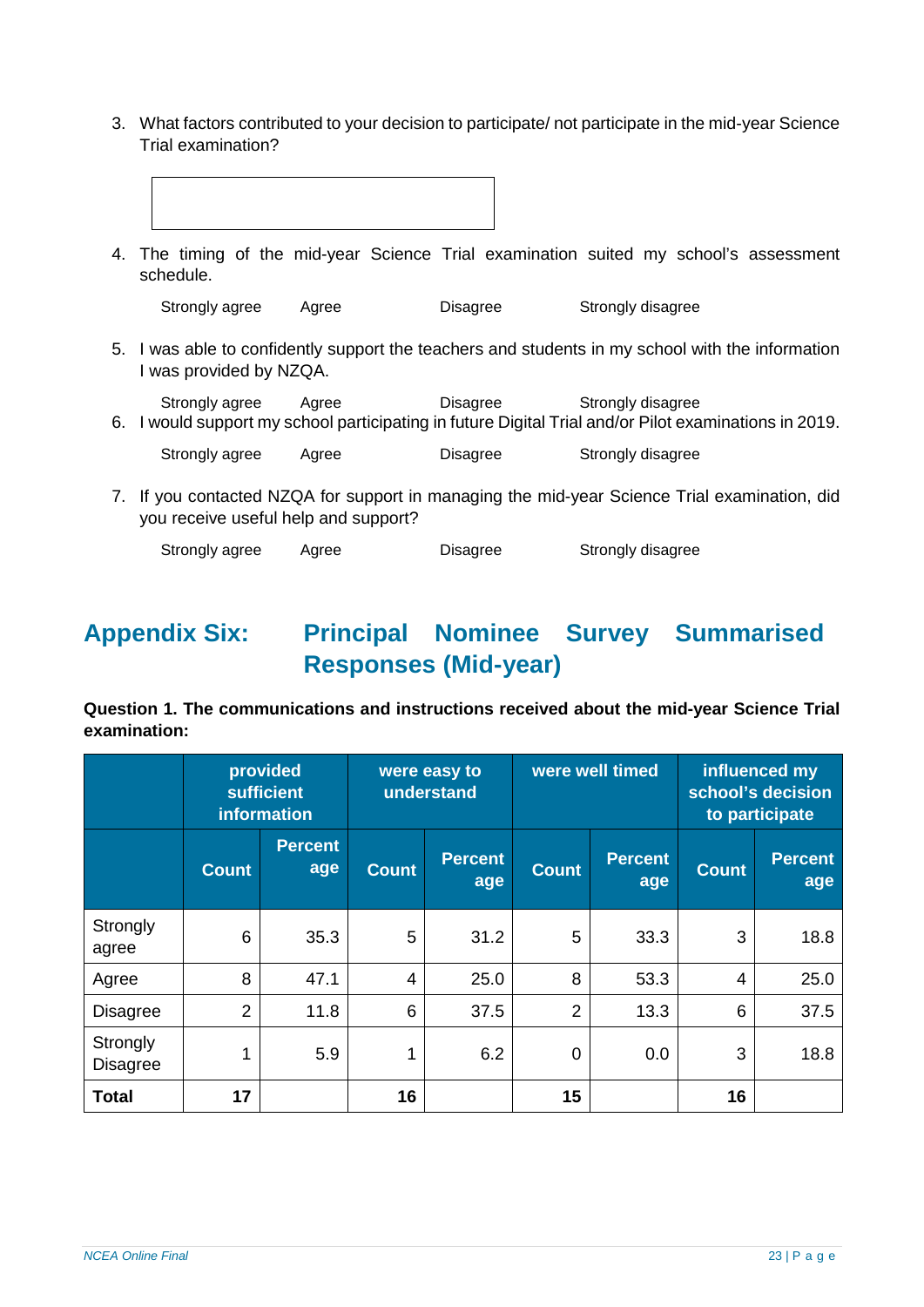3. What factors contributed to your decision to participate/ not participate in the mid-year Science Trial examination?

|    | schedule.                            |       |                 | 4. The timing of the mid-year Science Trial examination suited my school's assessment                                      |
|----|--------------------------------------|-------|-----------------|----------------------------------------------------------------------------------------------------------------------------|
|    | Strongly agree                       | Agree | Disagree        | Strongly disagree                                                                                                          |
|    | I was provided by NZQA.              |       |                 | 5. I was able to confidently support the teachers and students in my school with the information                           |
|    | Strongly agree                       | Agree | Disagree        | Strongly disagree<br>6. I would support my school participating in future Digital Trial and/or Pilot examinations in 2019. |
|    | Strongly agree                       | Agree | Disagree        | Strongly disagree                                                                                                          |
| 7. | you receive useful help and support? |       |                 | If you contacted NZQA for support in managing the mid-year Science Trial examination, did                                  |
|    | Strongly agree                       | Agree | <b>Disagree</b> | Strongly disagree                                                                                                          |

# <span id="page-22-0"></span>**Appendix Six: Principal Nominee Survey Summarised Responses (Mid-year)**

**Question 1. The communications and instructions received about the mid-year Science Trial examination:**

|                             |                | provided<br><b>sufficient</b><br>information |              | were easy to<br>understand | were well timed |                       | influenced my<br>school's decision<br>to participate |                       |
|-----------------------------|----------------|----------------------------------------------|--------------|----------------------------|-----------------|-----------------------|------------------------------------------------------|-----------------------|
|                             | <b>Count</b>   | <b>Percent</b><br>age                        | <b>Count</b> | <b>Percent</b><br>age      | <b>Count</b>    | <b>Percent</b><br>age | <b>Count</b>                                         | <b>Percent</b><br>age |
| Strongly<br>agree           | 6              | 35.3                                         | 5            | 31.2                       | 5               | 33.3                  | 3                                                    | 18.8                  |
| Agree                       | 8              | 47.1                                         | 4            | 25.0                       | 8               | 53.3                  | 4                                                    | 25.0                  |
| <b>Disagree</b>             | $\overline{2}$ | 11.8                                         | 6            | 37.5                       | $\overline{2}$  | 13.3                  | 6                                                    | 37.5                  |
| Strongly<br><b>Disagree</b> | 1              | 5.9                                          | 1            | 6.2                        | $\overline{0}$  | 0.0                   | 3                                                    | 18.8                  |
| <b>Total</b>                | 17             |                                              | 16           |                            | 15              |                       | 16                                                   |                       |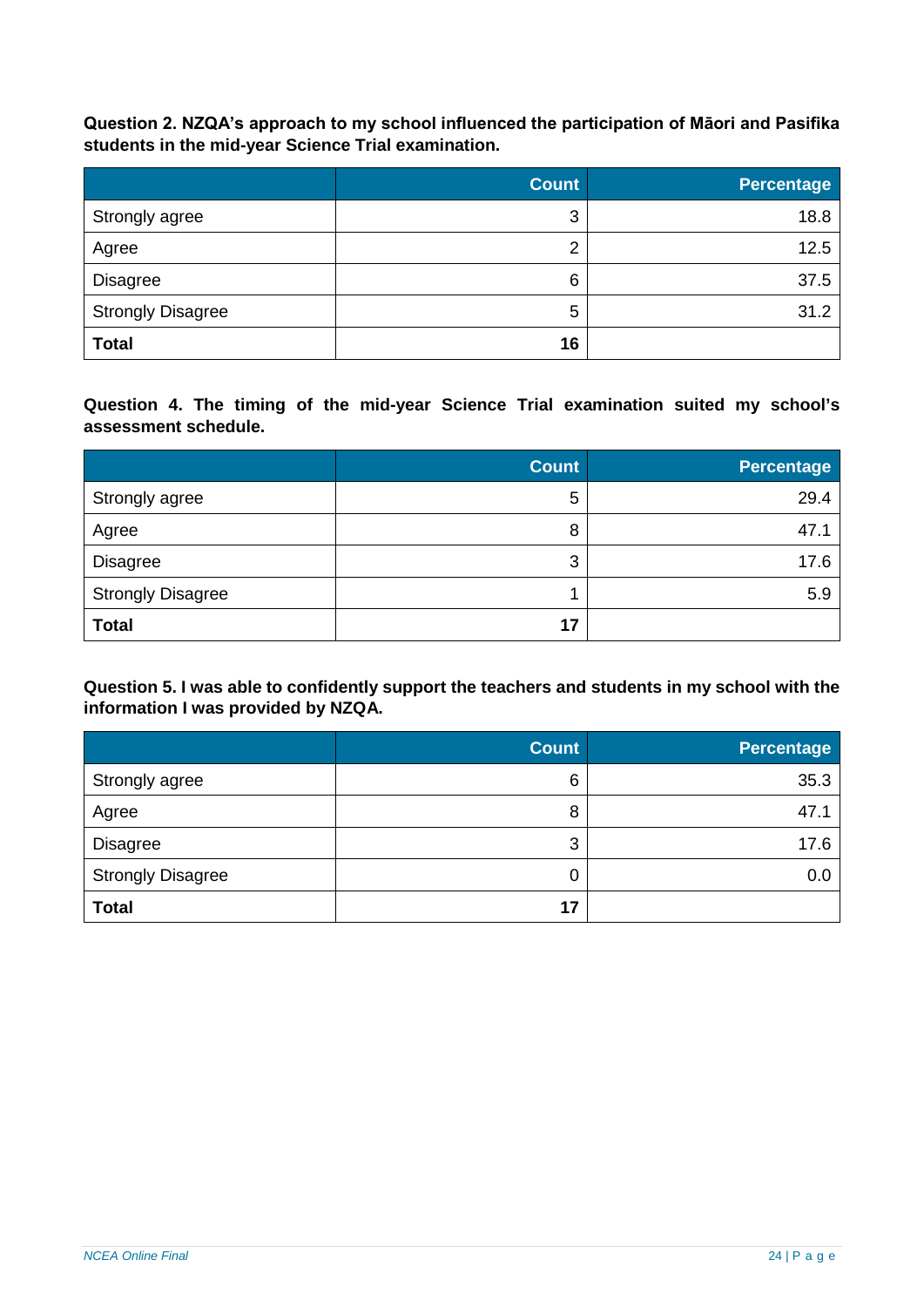**Question 2. NZQA's approach to my school influenced the participation of Māori and Pasifika students in the mid-year Science Trial examination.**

|                          | <b>Count</b>   | Percentage |
|--------------------------|----------------|------------|
| Strongly agree           | 3              | 18.8       |
| Agree                    | $\overline{2}$ | 12.5       |
| <b>Disagree</b>          | 6              | 37.5       |
| <b>Strongly Disagree</b> | 5              | 31.2       |
| <b>Total</b>             | 16             |            |

**Question 4. The timing of the mid-year Science Trial examination suited my school's assessment schedule.**

|                          | <b>Count</b> | <b>Percentage</b> |
|--------------------------|--------------|-------------------|
| Strongly agree           | 5            | 29.4              |
| Agree                    | 8            | 47.1              |
| <b>Disagree</b>          | 3            | 17.6              |
| <b>Strongly Disagree</b> |              | 5.9               |
| <b>Total</b>             | 17           |                   |

**Question 5. I was able to confidently support the teachers and students in my school with the information I was provided by NZQA.**

|                          | <b>Count</b> | Percentage |
|--------------------------|--------------|------------|
| Strongly agree           | 6            | 35.3       |
| Agree                    | 8            | 47.1       |
| <b>Disagree</b>          | 3            | 17.6       |
| <b>Strongly Disagree</b> | 0            | 0.0        |
| <b>Total</b>             | 17           |            |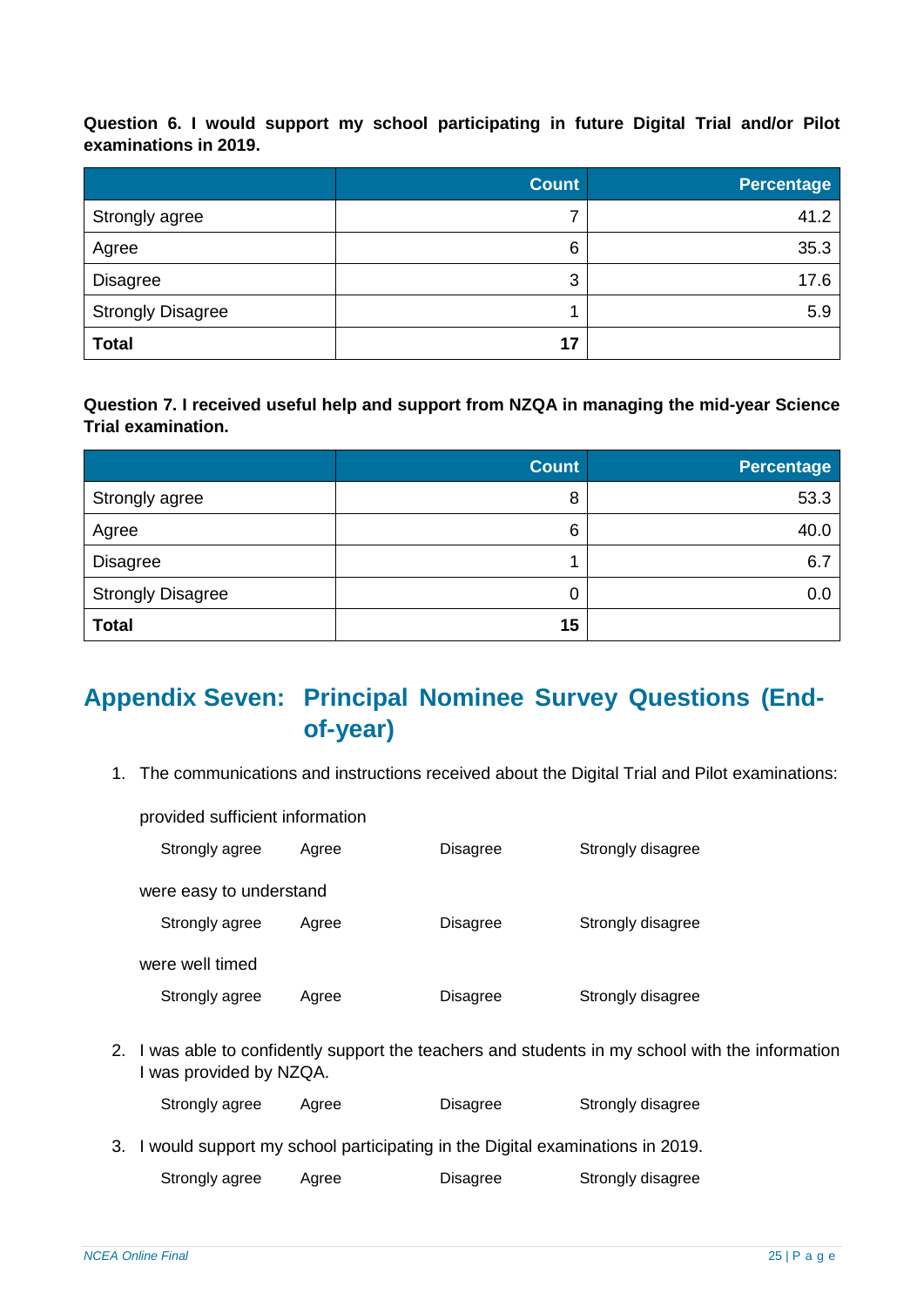**Question 6. I would support my school participating in future Digital Trial and/or Pilot examinations in 2019.**

|                          | <b>Count</b> | <b>Percentage</b> |
|--------------------------|--------------|-------------------|
| Strongly agree           | 7            | 41.2              |
| Agree                    | 6            | 35.3              |
| Disagree                 | 3            | 17.6              |
| <b>Strongly Disagree</b> |              | 5.9               |
| <b>Total</b>             | 17           |                   |

**Question 7. I received useful help and support from NZQA in managing the mid-year Science Trial examination.**

|                          | <b>Count</b> | <b>Percentage</b> |
|--------------------------|--------------|-------------------|
| Strongly agree           | 8            | 53.3              |
| Agree                    | 6            | 40.0              |
| Disagree                 |              | 6.7               |
| <b>Strongly Disagree</b> | 0            | 0.0               |
| <b>Total</b>             | 15           |                   |

# <span id="page-24-0"></span>**Appendix Seven: Principal Nominee Survey Questions (Endof-year)**

1. The communications and instructions received about the Digital Trial and Pilot examinations:

Strongly agree Agree Disagree Strongly disagree were easy to understand Strongly agree Agree Disagree Strongly disagree were well timed Strongly agree Agree Disagree Strongly disagree

provided sufficient information

2. I was able to confidently support the teachers and students in my school with the information I was provided by NZQA.

| Strongly agree | Agree | Disagree | Strongly disagree |
|----------------|-------|----------|-------------------|
|                |       |          |                   |

3. I would support my school participating in the Digital examinations in 2019.

| Strongly agree | Agree | Disagree | Strongly disagree |
|----------------|-------|----------|-------------------|
|                |       |          |                   |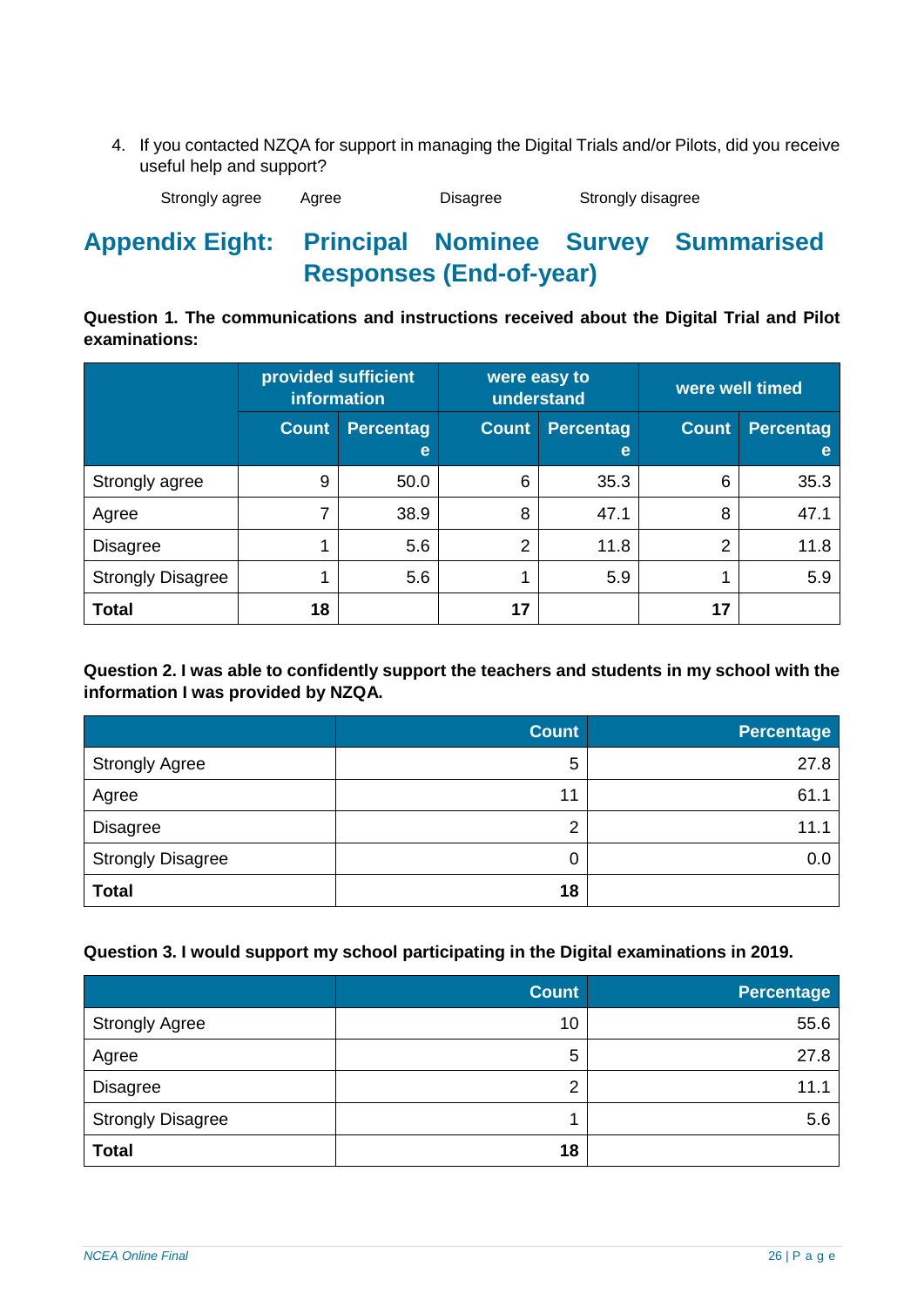4. If you contacted NZQA for support in managing the Digital Trials and/or Pilots, did you receive useful help and support?

Strongly agree Agree Disagree Strongly disagree

# <span id="page-25-0"></span>**Appendix Eight: Principal Nominee Survey Summarised Responses (End-of-year)**

**Question 1. The communications and instructions received about the Digital Trial and Pilot examinations:**

|                          |              | provided sufficient<br>were easy to<br>were well timed<br>information<br>understand |       |                       |              |                       |
|--------------------------|--------------|-------------------------------------------------------------------------------------|-------|-----------------------|--------------|-----------------------|
|                          | <b>Count</b> | <b>Percentag</b><br>e                                                               | Count | <b>Percentag</b><br>e | <b>Count</b> | <b>Percentag</b><br>e |
| Strongly agree           | 9            | 50.0                                                                                | 6     | 35.3                  | 6            | 35.3                  |
| Agree                    |              | 38.9                                                                                | 8     | 47.1                  | 8            | 47.1                  |
| <b>Disagree</b>          |              | 5.6                                                                                 | 2     | 11.8                  | 2            | 11.8                  |
| <b>Strongly Disagree</b> |              | 5.6                                                                                 |       | 5.9                   |              | 5.9                   |
| <b>Total</b>             | 18           |                                                                                     | 17    |                       | 17           |                       |

**Question 2. I was able to confidently support the teachers and students in my school with the information I was provided by NZQA.**

|                          | <b>Count</b> | <b>Percentage</b> |
|--------------------------|--------------|-------------------|
| <b>Strongly Agree</b>    | 5            | 27.8              |
| Agree                    | 11           | 61.1              |
| <b>Disagree</b>          | 2            | 11.1              |
| <b>Strongly Disagree</b> | 0            | 0.0               |
| <b>Total</b>             | 18           |                   |

## **Question 3. I would support my school participating in the Digital examinations in 2019.**

|                          | <b>Count</b> | Percentage |
|--------------------------|--------------|------------|
| <b>Strongly Agree</b>    | 10           | 55.6       |
| Agree                    | 5            | 27.8       |
| <b>Disagree</b>          | 2            | 11.1       |
| <b>Strongly Disagree</b> |              | 5.6        |
| <b>Total</b>             | 18           |            |